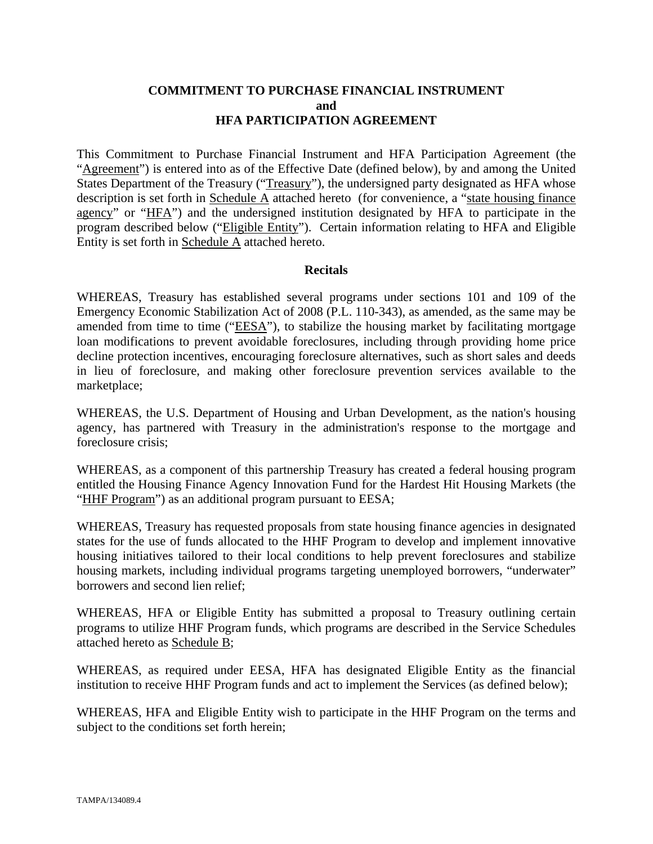## **COMMITMENT TO PURCHASE FINANCIAL INSTRUMENT and HFA PARTICIPATION AGREEMENT**

This Commitment to Purchase Financial Instrument and HFA Participation Agreement (the "Agreement") is entered into as of the Effective Date (defined below), by and among the United States Department of the Treasury ("Treasury"), the undersigned party designated as HFA whose description is set forth in Schedule A attached hereto (for convenience, a "state housing finance agency" or "HFA") and the undersigned institution designated by HFA to participate in the program described below ("Eligible Entity"). Certain information relating to HFA and Eligible Entity is set forth in Schedule A attached hereto.

## **Recitals**

WHEREAS, Treasury has established several programs under sections 101 and 109 of the Emergency Economic Stabilization Act of 2008 (P.L. 110-343), as amended, as the same may be amended from time to time ("EESA"), to stabilize the housing market by facilitating mortgage loan modifications to prevent avoidable foreclosures, including through providing home price decline protection incentives, encouraging foreclosure alternatives, such as short sales and deeds in lieu of foreclosure, and making other foreclosure prevention services available to the marketplace;

WHEREAS, the U.S. Department of Housing and Urban Development, as the nation's housing agency, has partnered with Treasury in the administration's response to the mortgage and foreclosure crisis;

WHEREAS, as a component of this partnership Treasury has created a federal housing program entitled the Housing Finance Agency Innovation Fund for the Hardest Hit Housing Markets (the "HHF Program") as an additional program pursuant to EESA;

WHEREAS, Treasury has requested proposals from state housing finance agencies in designated states for the use of funds allocated to the HHF Program to develop and implement innovative housing initiatives tailored to their local conditions to help prevent foreclosures and stabilize housing markets, including individual programs targeting unemployed borrowers, "underwater" borrowers and second lien relief;

WHEREAS, HFA or Eligible Entity has submitted a proposal to Treasury outlining certain programs to utilize HHF Program funds, which programs are described in the Service Schedules attached hereto as Schedule B;

WHEREAS, as required under EESA, HFA has designated Eligible Entity as the financial institution to receive HHF Program funds and act to implement the Services (as defined below);

WHEREAS, HFA and Eligible Entity wish to participate in the HHF Program on the terms and subject to the conditions set forth herein;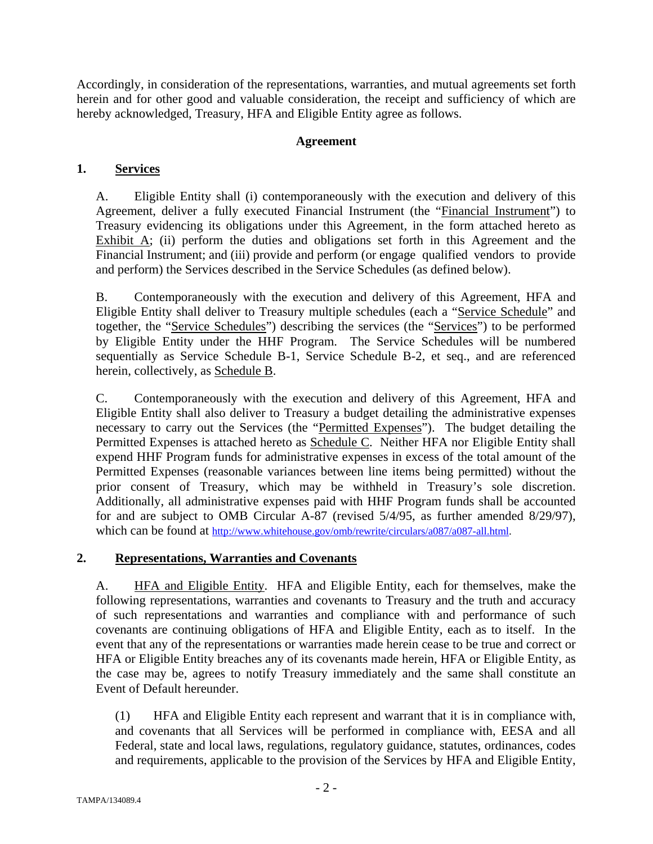Accordingly, in consideration of the representations, warranties, and mutual agreements set forth herein and for other good and valuable consideration, the receipt and sufficiency of which are hereby acknowledged, Treasury, HFA and Eligible Entity agree as follows.

# **Agreement**

# **1. Services**

A. Eligible Entity shall (i) contemporaneously with the execution and delivery of this Agreement, deliver a fully executed Financial Instrument (the "Financial Instrument") to Treasury evidencing its obligations under this Agreement, in the form attached hereto as Exhibit  $\overline{A}$ ; (ii) perform the duties and obligations set forth in this Agreement and the Financial Instrument; and (iii) provide and perform (or engage qualified vendors to provide and perform) the Services described in the Service Schedules (as defined below).

B. Contemporaneously with the execution and delivery of this Agreement, HFA and Eligible Entity shall deliver to Treasury multiple schedules (each a "Service Schedule" and together, the "Service Schedules") describing the services (the "Services") to be performed by Eligible Entity under the HHF Program. The Service Schedules will be numbered sequentially as Service Schedule B-1, Service Schedule B-2, et seq., and are referenced herein, collectively, as Schedule B.

C. Contemporaneously with the execution and delivery of this Agreement, HFA and Eligible Entity shall also deliver to Treasury a budget detailing the administrative expenses necessary to carry out the Services (the "Permitted Expenses"). The budget detailing the Permitted Expenses is attached hereto as Schedule C. Neither HFA nor Eligible Entity shall expend HHF Program funds for administrative expenses in excess of the total amount of the Permitted Expenses (reasonable variances between line items being permitted) without the prior consent of Treasury, which may be withheld in Treasury's sole discretion. Additionally, all administrative expenses paid with HHF Program funds shall be accounted for and are subject to OMB Circular A-87 (revised 5/4/95, as further amended 8/29/97), which can be found at http://www.whitehouse.gov/omb/rewrite/circulars/a087/a087-all.html.

# **2. Representations, Warranties and Covenants**

A. **HFA and Eligible Entity.** HFA and Eligible Entity, each for themselves, make the following representations, warranties and covenants to Treasury and the truth and accuracy of such representations and warranties and compliance with and performance of such covenants are continuing obligations of HFA and Eligible Entity, each as to itself. In the event that any of the representations or warranties made herein cease to be true and correct or HFA or Eligible Entity breaches any of its covenants made herein, HFA or Eligible Entity, as the case may be, agrees to notify Treasury immediately and the same shall constitute an Event of Default hereunder.

(1) HFA and Eligible Entity each represent and warrant that it is in compliance with, and covenants that all Services will be performed in compliance with, EESA and all Federal, state and local laws, regulations, regulatory guidance, statutes, ordinances, codes and requirements, applicable to the provision of the Services by HFA and Eligible Entity,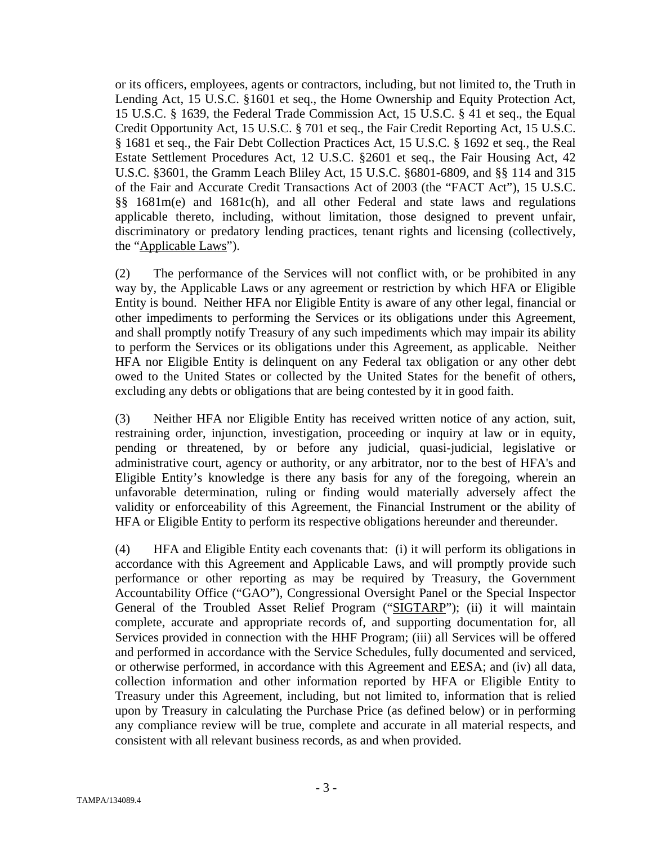or its officers, employees, agents or contractors, including, but not limited to, the Truth in Lending Act, 15 U.S.C. §1601 et seq., the Home Ownership and Equity Protection Act, 15 U.S.C. § 1639, the Federal Trade Commission Act, 15 U.S.C. § 41 et seq., the Equal Credit Opportunity Act, 15 U.S.C. § 701 et seq., the Fair Credit Reporting Act, 15 U.S.C. § 1681 et seq., the Fair Debt Collection Practices Act, 15 U.S.C. § 1692 et seq., the Real Estate Settlement Procedures Act, 12 U.S.C. §2601 et seq., the Fair Housing Act, 42 U.S.C. §3601, the Gramm Leach Bliley Act, 15 U.S.C. §6801-6809, and §§ 114 and 315 of the Fair and Accurate Credit Transactions Act of 2003 (the "FACT Act"), 15 U.S.C. §§ 1681m(e) and 1681c(h), and all other Federal and state laws and regulations applicable thereto, including, without limitation, those designed to prevent unfair, discriminatory or predatory lending practices, tenant rights and licensing (collectively, the "Applicable Laws").

(2) The performance of the Services will not conflict with, or be prohibited in any way by, the Applicable Laws or any agreement or restriction by which HFA or Eligible Entity is bound. Neither HFA nor Eligible Entity is aware of any other legal, financial or other impediments to performing the Services or its obligations under this Agreement, and shall promptly notify Treasury of any such impediments which may impair its ability to perform the Services or its obligations under this Agreement, as applicable. Neither HFA nor Eligible Entity is delinquent on any Federal tax obligation or any other debt owed to the United States or collected by the United States for the benefit of others, excluding any debts or obligations that are being contested by it in good faith.

(3) Neither HFA nor Eligible Entity has received written notice of any action, suit, restraining order, injunction, investigation, proceeding or inquiry at law or in equity, pending or threatened, by or before any judicial, quasi-judicial, legislative or administrative court, agency or authority, or any arbitrator, nor to the best of HFA's and Eligible Entity's knowledge is there any basis for any of the foregoing, wherein an unfavorable determination, ruling or finding would materially adversely affect the validity or enforceability of this Agreement, the Financial Instrument or the ability of HFA or Eligible Entity to perform its respective obligations hereunder and thereunder.

(4) HFA and Eligible Entity each covenants that: (i) it will perform its obligations in accordance with this Agreement and Applicable Laws, and will promptly provide such performance or other reporting as may be required by Treasury, the Government Accountability Office ("GAO"), Congressional Oversight Panel or the Special Inspector General of the Troubled Asset Relief Program ("SIGTARP"); (ii) it will maintain complete, accurate and appropriate records of, and supporting documentation for, all Services provided in connection with the HHF Program; (iii) all Services will be offered and performed in accordance with the Service Schedules, fully documented and serviced, or otherwise performed, in accordance with this Agreement and EESA; and (iv) all data, collection information and other information reported by HFA or Eligible Entity to Treasury under this Agreement, including, but not limited to, information that is relied upon by Treasury in calculating the Purchase Price (as defined below) or in performing any compliance review will be true, complete and accurate in all material respects, and consistent with all relevant business records, as and when provided.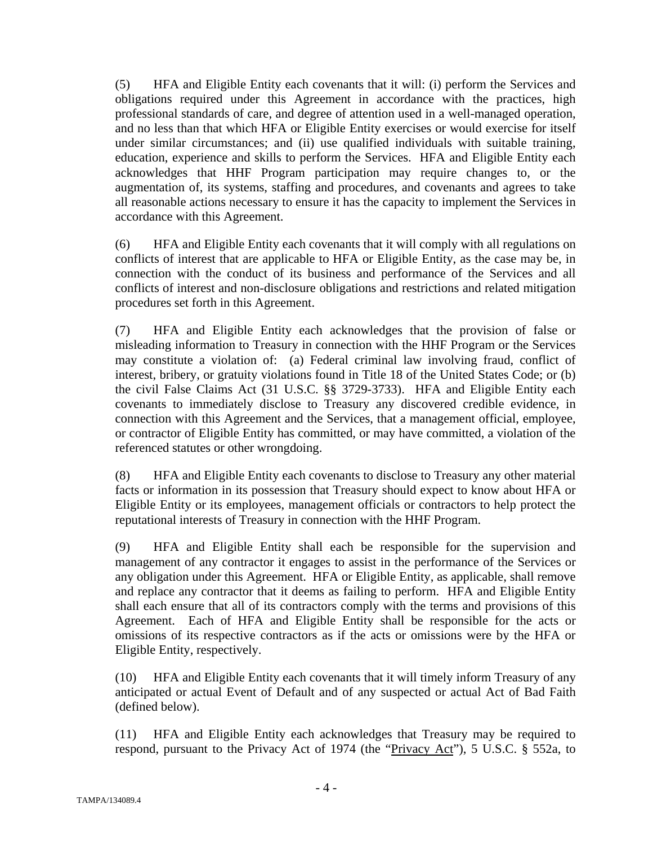(5) HFA and Eligible Entity each covenants that it will: (i) perform the Services and obligations required under this Agreement in accordance with the practices, high professional standards of care, and degree of attention used in a well-managed operation, and no less than that which HFA or Eligible Entity exercises or would exercise for itself under similar circumstances; and (ii) use qualified individuals with suitable training, education, experience and skills to perform the Services. HFA and Eligible Entity each acknowledges that HHF Program participation may require changes to, or the augmentation of, its systems, staffing and procedures, and covenants and agrees to take all reasonable actions necessary to ensure it has the capacity to implement the Services in accordance with this Agreement.

(6) HFA and Eligible Entity each covenants that it will comply with all regulations on conflicts of interest that are applicable to HFA or Eligible Entity, as the case may be, in connection with the conduct of its business and performance of the Services and all conflicts of interest and non-disclosure obligations and restrictions and related mitigation procedures set forth in this Agreement.

(7) HFA and Eligible Entity each acknowledges that the provision of false or misleading information to Treasury in connection with the HHF Program or the Services may constitute a violation of: (a) Federal criminal law involving fraud, conflict of interest, bribery, or gratuity violations found in Title 18 of the United States Code; or (b) the civil False Claims Act (31 U.S.C. §§ 3729-3733). HFA and Eligible Entity each covenants to immediately disclose to Treasury any discovered credible evidence, in connection with this Agreement and the Services, that a management official, employee, or contractor of Eligible Entity has committed, or may have committed, a violation of the referenced statutes or other wrongdoing.

(8) HFA and Eligible Entity each covenants to disclose to Treasury any other material facts or information in its possession that Treasury should expect to know about HFA or Eligible Entity or its employees, management officials or contractors to help protect the reputational interests of Treasury in connection with the HHF Program.

(9) HFA and Eligible Entity shall each be responsible for the supervision and management of any contractor it engages to assist in the performance of the Services or any obligation under this Agreement. HFA or Eligible Entity, as applicable, shall remove and replace any contractor that it deems as failing to perform. HFA and Eligible Entity shall each ensure that all of its contractors comply with the terms and provisions of this Agreement. Each of HFA and Eligible Entity shall be responsible for the acts or omissions of its respective contractors as if the acts or omissions were by the HFA or Eligible Entity, respectively.

(10) HFA and Eligible Entity each covenants that it will timely inform Treasury of any anticipated or actual Event of Default and of any suspected or actual Act of Bad Faith (defined below).

(11) HFA and Eligible Entity each acknowledges that Treasury may be required to respond, pursuant to the Privacy Act of 1974 (the "Privacy Act"), 5 U.S.C. § 552a, to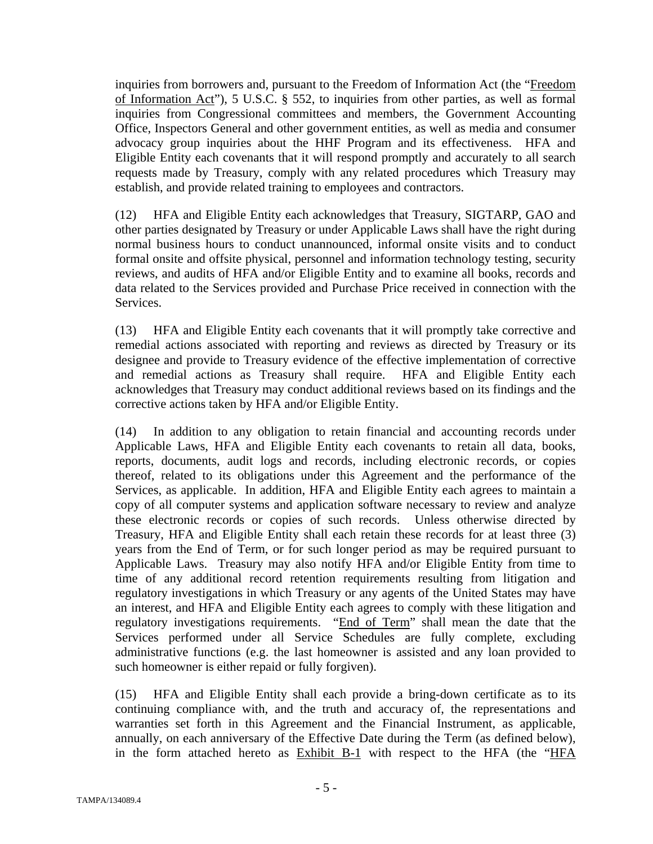inquiries from borrowers and, pursuant to the Freedom of Information Act (the "Freedom of Information Act"), 5 U.S.C. § 552, to inquiries from other parties, as well as formal inquiries from Congressional committees and members, the Government Accounting Office, Inspectors General and other government entities, as well as media and consumer advocacy group inquiries about the HHF Program and its effectiveness. HFA and Eligible Entity each covenants that it will respond promptly and accurately to all search requests made by Treasury, comply with any related procedures which Treasury may establish, and provide related training to employees and contractors.

(12) HFA and Eligible Entity each acknowledges that Treasury, SIGTARP, GAO and other parties designated by Treasury or under Applicable Laws shall have the right during normal business hours to conduct unannounced, informal onsite visits and to conduct formal onsite and offsite physical, personnel and information technology testing, security reviews, and audits of HFA and/or Eligible Entity and to examine all books, records and data related to the Services provided and Purchase Price received in connection with the Services.

(13) HFA and Eligible Entity each covenants that it will promptly take corrective and remedial actions associated with reporting and reviews as directed by Treasury or its designee and provide to Treasury evidence of the effective implementation of corrective and remedial actions as Treasury shall require. HFA and Eligible Entity each acknowledges that Treasury may conduct additional reviews based on its findings and the corrective actions taken by HFA and/or Eligible Entity.

(14) In addition to any obligation to retain financial and accounting records under Applicable Laws, HFA and Eligible Entity each covenants to retain all data, books, reports, documents, audit logs and records, including electronic records, or copies thereof, related to its obligations under this Agreement and the performance of the Services, as applicable. In addition, HFA and Eligible Entity each agrees to maintain a copy of all computer systems and application software necessary to review and analyze these electronic records or copies of such records. Unless otherwise directed by Treasury, HFA and Eligible Entity shall each retain these records for at least three (3) years from the End of Term, or for such longer period as may be required pursuant to Applicable Laws. Treasury may also notify HFA and/or Eligible Entity from time to time of any additional record retention requirements resulting from litigation and regulatory investigations in which Treasury or any agents of the United States may have an interest, and HFA and Eligible Entity each agrees to comply with these litigation and regulatory investigations requirements. "End of Term" shall mean the date that the Services performed under all Service Schedules are fully complete, excluding administrative functions (e.g. the last homeowner is assisted and any loan provided to such homeowner is either repaid or fully forgiven).

(15) HFA and Eligible Entity shall each provide a bring-down certificate as to its continuing compliance with, and the truth and accuracy of, the representations and warranties set forth in this Agreement and the Financial Instrument, as applicable, annually, on each anniversary of the Effective Date during the Term (as defined below), in the form attached hereto as Exhibit B-1 with respect to the HFA (the "HFA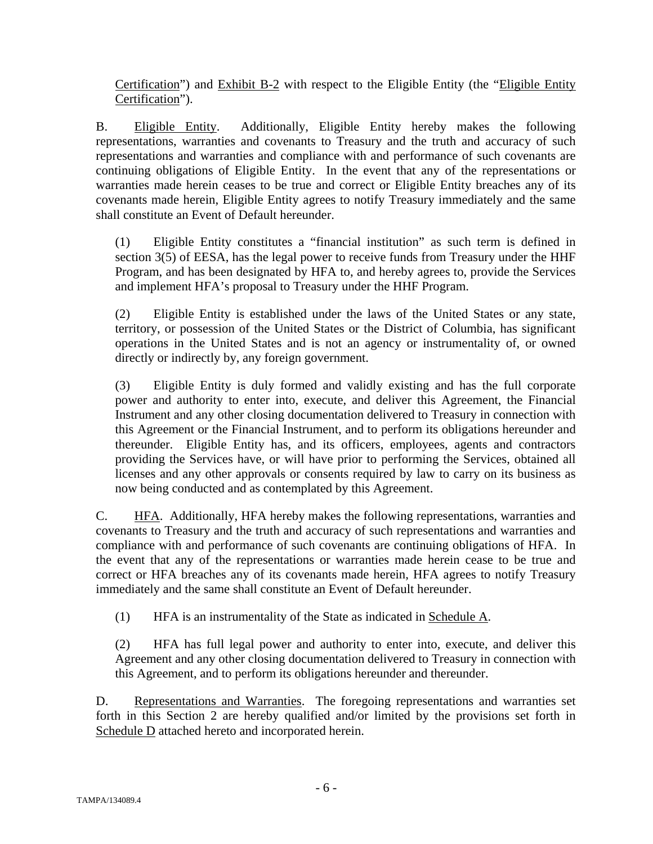Certification") and Exhibit B-2 with respect to the Eligible Entity (the "Eligible Entity Certification").

B. Eligible Entity. Additionally, Eligible Entity hereby makes the following representations, warranties and covenants to Treasury and the truth and accuracy of such representations and warranties and compliance with and performance of such covenants are continuing obligations of Eligible Entity. In the event that any of the representations or warranties made herein ceases to be true and correct or Eligible Entity breaches any of its covenants made herein, Eligible Entity agrees to notify Treasury immediately and the same shall constitute an Event of Default hereunder.

(1) Eligible Entity constitutes a "financial institution" as such term is defined in section 3(5) of EESA, has the legal power to receive funds from Treasury under the HHF Program, and has been designated by HFA to, and hereby agrees to, provide the Services and implement HFA's proposal to Treasury under the HHF Program.

(2) Eligible Entity is established under the laws of the United States or any state, territory, or possession of the United States or the District of Columbia, has significant operations in the United States and is not an agency or instrumentality of, or owned directly or indirectly by, any foreign government.

(3) Eligible Entity is duly formed and validly existing and has the full corporate power and authority to enter into, execute, and deliver this Agreement, the Financial Instrument and any other closing documentation delivered to Treasury in connection with this Agreement or the Financial Instrument, and to perform its obligations hereunder and thereunder. Eligible Entity has, and its officers, employees, agents and contractors providing the Services have, or will have prior to performing the Services, obtained all licenses and any other approvals or consents required by law to carry on its business as now being conducted and as contemplated by this Agreement.

C. HFA. Additionally, HFA hereby makes the following representations, warranties and covenants to Treasury and the truth and accuracy of such representations and warranties and compliance with and performance of such covenants are continuing obligations of HFA. In the event that any of the representations or warranties made herein cease to be true and correct or HFA breaches any of its covenants made herein, HFA agrees to notify Treasury immediately and the same shall constitute an Event of Default hereunder.

(1) HFA is an instrumentality of the State as indicated in Schedule A.

(2) HFA has full legal power and authority to enter into, execute, and deliver this Agreement and any other closing documentation delivered to Treasury in connection with this Agreement, and to perform its obligations hereunder and thereunder.

D. Representations and Warranties. The foregoing representations and warranties set forth in this Section 2 are hereby qualified and/or limited by the provisions set forth in Schedule D attached hereto and incorporated herein.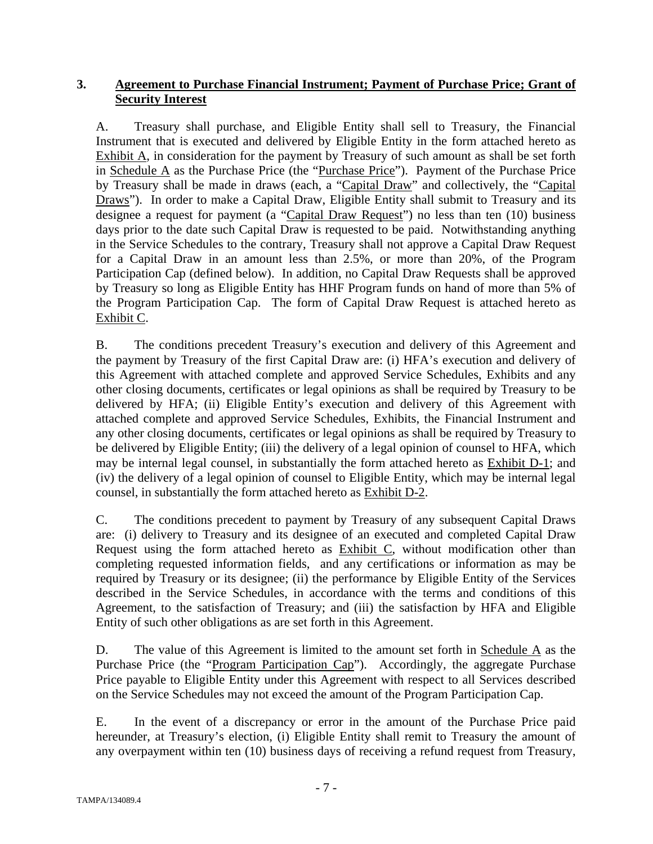# **3. Agreement to Purchase Financial Instrument; Payment of Purchase Price; Grant of Security Interest**

A. Treasury shall purchase, and Eligible Entity shall sell to Treasury, the Financial Instrument that is executed and delivered by Eligible Entity in the form attached hereto as Exhibit A, in consideration for the payment by Treasury of such amount as shall be set forth in Schedule A as the Purchase Price (the "Purchase Price"). Payment of the Purchase Price by Treasury shall be made in draws (each, a "Capital Draw" and collectively, the "Capital Draws"). In order to make a Capital Draw, Eligible Entity shall submit to Treasury and its designee a request for payment (a "Capital Draw Request") no less than ten (10) business days prior to the date such Capital Draw is requested to be paid. Notwithstanding anything in the Service Schedules to the contrary, Treasury shall not approve a Capital Draw Request for a Capital Draw in an amount less than 2.5%, or more than 20%, of the Program Participation Cap (defined below). In addition, no Capital Draw Requests shall be approved by Treasury so long as Eligible Entity has HHF Program funds on hand of more than 5% of the Program Participation Cap. The form of Capital Draw Request is attached hereto as Exhibit C.

B. The conditions precedent Treasury's execution and delivery of this Agreement and the payment by Treasury of the first Capital Draw are: (i) HFA's execution and delivery of this Agreement with attached complete and approved Service Schedules, Exhibits and any other closing documents, certificates or legal opinions as shall be required by Treasury to be delivered by HFA; (ii) Eligible Entity's execution and delivery of this Agreement with attached complete and approved Service Schedules, Exhibits, the Financial Instrument and any other closing documents, certificates or legal opinions as shall be required by Treasury to be delivered by Eligible Entity; (iii) the delivery of a legal opinion of counsel to HFA, which may be internal legal counsel, in substantially the form attached hereto as Exhibit D-1; and (iv) the delivery of a legal opinion of counsel to Eligible Entity, which may be internal legal counsel, in substantially the form attached hereto as Exhibit D-2.

C. The conditions precedent to payment by Treasury of any subsequent Capital Draws are: (i) delivery to Treasury and its designee of an executed and completed Capital Draw Request using the form attached hereto as Exhibit C, without modification other than completing requested information fields, and any certifications or information as may be required by Treasury or its designee; (ii) the performance by Eligible Entity of the Services described in the Service Schedules, in accordance with the terms and conditions of this Agreement, to the satisfaction of Treasury; and (iii) the satisfaction by HFA and Eligible Entity of such other obligations as are set forth in this Agreement.

D. The value of this Agreement is limited to the amount set forth in Schedule  $\overline{A}$  as the Purchase Price (the "Program Participation Cap"). Accordingly, the aggregate Purchase Price payable to Eligible Entity under this Agreement with respect to all Services described on the Service Schedules may not exceed the amount of the Program Participation Cap.

E. In the event of a discrepancy or error in the amount of the Purchase Price paid hereunder, at Treasury's election, (i) Eligible Entity shall remit to Treasury the amount of any overpayment within ten (10) business days of receiving a refund request from Treasury,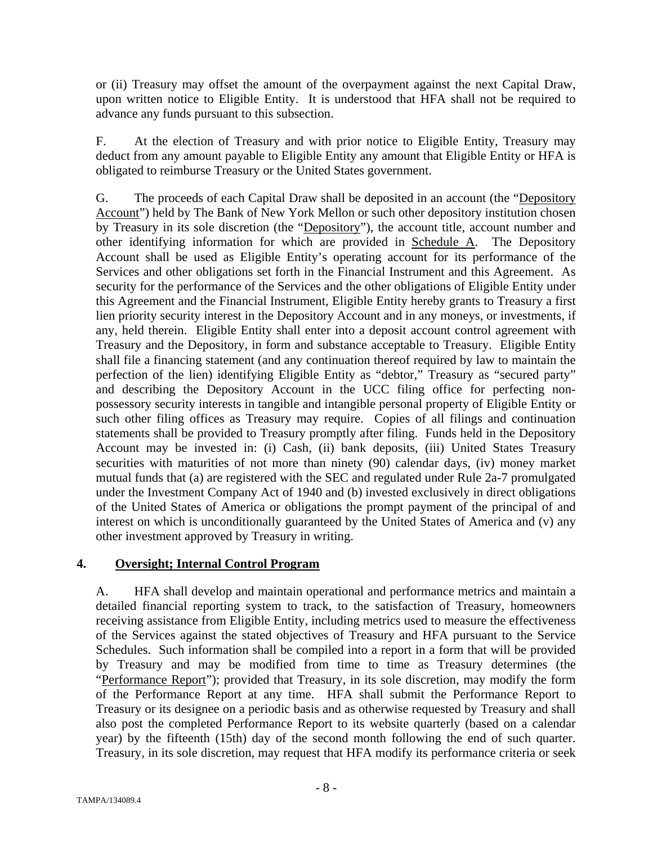or (ii) Treasury may offset the amount of the overpayment against the next Capital Draw, upon written notice to Eligible Entity. It is understood that HFA shall not be required to advance any funds pursuant to this subsection.

F. At the election of Treasury and with prior notice to Eligible Entity, Treasury may deduct from any amount payable to Eligible Entity any amount that Eligible Entity or HFA is obligated to reimburse Treasury or the United States government.

G. The proceeds of each Capital Draw shall be deposited in an account (the "Depository Account") held by The Bank of New York Mellon or such other depository institution chosen by Treasury in its sole discretion (the "Depository"), the account title, account number and other identifying information for which are provided in Schedule A. The Depository Account shall be used as Eligible Entity's operating account for its performance of the Services and other obligations set forth in the Financial Instrument and this Agreement. As security for the performance of the Services and the other obligations of Eligible Entity under this Agreement and the Financial Instrument, Eligible Entity hereby grants to Treasury a first lien priority security interest in the Depository Account and in any moneys, or investments, if any, held therein. Eligible Entity shall enter into a deposit account control agreement with Treasury and the Depository, in form and substance acceptable to Treasury. Eligible Entity shall file a financing statement (and any continuation thereof required by law to maintain the perfection of the lien) identifying Eligible Entity as "debtor," Treasury as "secured party" and describing the Depository Account in the UCC filing office for perfecting nonpossessory security interests in tangible and intangible personal property of Eligible Entity or such other filing offices as Treasury may require. Copies of all filings and continuation statements shall be provided to Treasury promptly after filing. Funds held in the Depository Account may be invested in: (i) Cash, (ii) bank deposits, (iii) United States Treasury securities with maturities of not more than ninety (90) calendar days, (iv) money market mutual funds that (a) are registered with the SEC and regulated under Rule 2a-7 promulgated under the Investment Company Act of 1940 and (b) invested exclusively in direct obligations of the United States of America or obligations the prompt payment of the principal of and interest on which is unconditionally guaranteed by the United States of America and (v) any other investment approved by Treasury in writing.

# **4. Oversight; Internal Control Program**

A. HFA shall develop and maintain operational and performance metrics and maintain a detailed financial reporting system to track, to the satisfaction of Treasury, homeowners receiving assistance from Eligible Entity, including metrics used to measure the effectiveness of the Services against the stated objectives of Treasury and HFA pursuant to the Service Schedules. Such information shall be compiled into a report in a form that will be provided by Treasury and may be modified from time to time as Treasury determines (the "Performance Report"); provided that Treasury, in its sole discretion, may modify the form of the Performance Report at any time. HFA shall submit the Performance Report to Treasury or its designee on a periodic basis and as otherwise requested by Treasury and shall also post the completed Performance Report to its website quarterly (based on a calendar year) by the fifteenth (15th) day of the second month following the end of such quarter. Treasury, in its sole discretion, may request that HFA modify its performance criteria or seek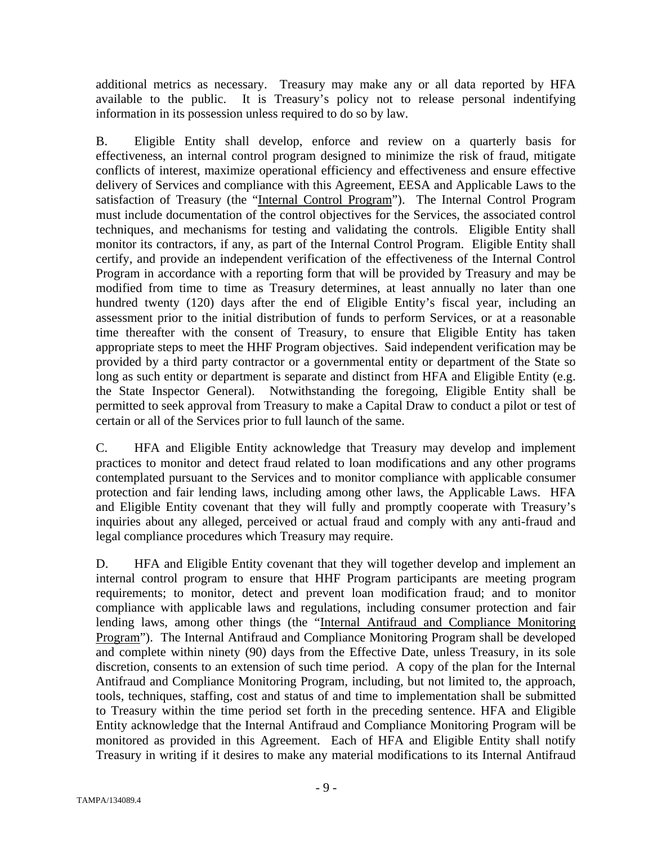additional metrics as necessary. Treasury may make any or all data reported by HFA available to the public. It is Treasury's policy not to release personal indentifying information in its possession unless required to do so by law.

B. Eligible Entity shall develop, enforce and review on a quarterly basis for effectiveness, an internal control program designed to minimize the risk of fraud, mitigate conflicts of interest, maximize operational efficiency and effectiveness and ensure effective delivery of Services and compliance with this Agreement, EESA and Applicable Laws to the satisfaction of Treasury (the "Internal Control Program"). The Internal Control Program must include documentation of the control objectives for the Services, the associated control techniques, and mechanisms for testing and validating the controls. Eligible Entity shall monitor its contractors, if any, as part of the Internal Control Program. Eligible Entity shall certify, and provide an independent verification of the effectiveness of the Internal Control Program in accordance with a reporting form that will be provided by Treasury and may be modified from time to time as Treasury determines, at least annually no later than one hundred twenty (120) days after the end of Eligible Entity's fiscal year, including an assessment prior to the initial distribution of funds to perform Services, or at a reasonable time thereafter with the consent of Treasury, to ensure that Eligible Entity has taken appropriate steps to meet the HHF Program objectives. Said independent verification may be provided by a third party contractor or a governmental entity or department of the State so long as such entity or department is separate and distinct from HFA and Eligible Entity (e.g. the State Inspector General). Notwithstanding the foregoing, Eligible Entity shall be permitted to seek approval from Treasury to make a Capital Draw to conduct a pilot or test of certain or all of the Services prior to full launch of the same.

C. HFA and Eligible Entity acknowledge that Treasury may develop and implement practices to monitor and detect fraud related to loan modifications and any other programs contemplated pursuant to the Services and to monitor compliance with applicable consumer protection and fair lending laws, including among other laws, the Applicable Laws. HFA and Eligible Entity covenant that they will fully and promptly cooperate with Treasury's inquiries about any alleged, perceived or actual fraud and comply with any anti-fraud and legal compliance procedures which Treasury may require.

D. HFA and Eligible Entity covenant that they will together develop and implement an internal control program to ensure that HHF Program participants are meeting program requirements; to monitor, detect and prevent loan modification fraud; and to monitor compliance with applicable laws and regulations, including consumer protection and fair lending laws, among other things (the "Internal Antifraud and Compliance Monitoring Program"). The Internal Antifraud and Compliance Monitoring Program shall be developed and complete within ninety (90) days from the Effective Date, unless Treasury, in its sole discretion, consents to an extension of such time period. A copy of the plan for the Internal Antifraud and Compliance Monitoring Program, including, but not limited to, the approach, tools, techniques, staffing, cost and status of and time to implementation shall be submitted to Treasury within the time period set forth in the preceding sentence. HFA and Eligible Entity acknowledge that the Internal Antifraud and Compliance Monitoring Program will be monitored as provided in this Agreement. Each of HFA and Eligible Entity shall notify Treasury in writing if it desires to make any material modifications to its Internal Antifraud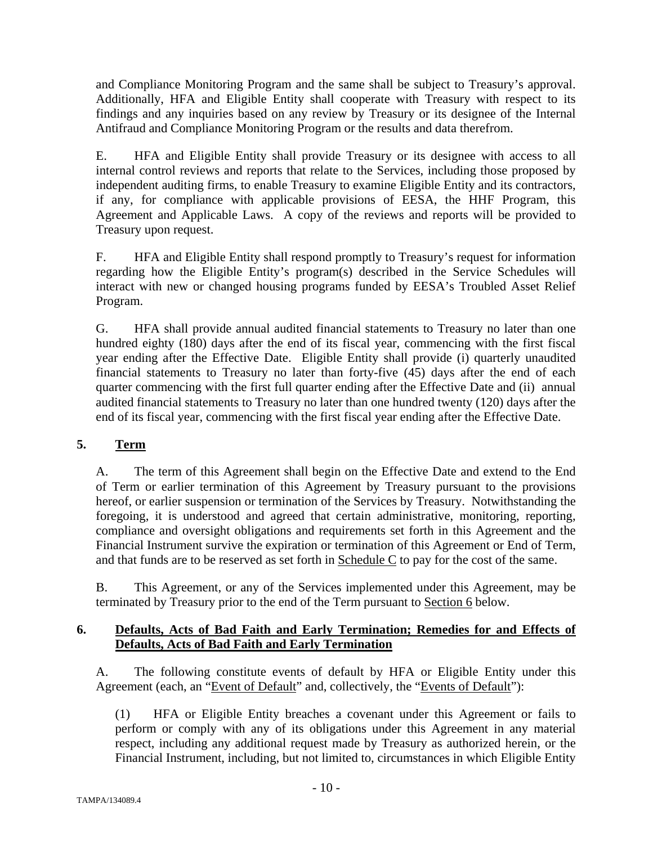and Compliance Monitoring Program and the same shall be subject to Treasury's approval. Additionally, HFA and Eligible Entity shall cooperate with Treasury with respect to its findings and any inquiries based on any review by Treasury or its designee of the Internal Antifraud and Compliance Monitoring Program or the results and data therefrom.

E. HFA and Eligible Entity shall provide Treasury or its designee with access to all internal control reviews and reports that relate to the Services, including those proposed by independent auditing firms, to enable Treasury to examine Eligible Entity and its contractors, if any, for compliance with applicable provisions of EESA, the HHF Program, this Agreement and Applicable Laws. A copy of the reviews and reports will be provided to Treasury upon request.

F. HFA and Eligible Entity shall respond promptly to Treasury's request for information regarding how the Eligible Entity's program(s) described in the Service Schedules will interact with new or changed housing programs funded by EESA's Troubled Asset Relief Program.

G. HFA shall provide annual audited financial statements to Treasury no later than one hundred eighty (180) days after the end of its fiscal year, commencing with the first fiscal year ending after the Effective Date. Eligible Entity shall provide (i) quarterly unaudited financial statements to Treasury no later than forty-five (45) days after the end of each quarter commencing with the first full quarter ending after the Effective Date and (ii) annual audited financial statements to Treasury no later than one hundred twenty (120) days after the end of its fiscal year, commencing with the first fiscal year ending after the Effective Date.

# **5. Term**

A. The term of this Agreement shall begin on the Effective Date and extend to the End of Term or earlier termination of this Agreement by Treasury pursuant to the provisions hereof, or earlier suspension or termination of the Services by Treasury. Notwithstanding the foregoing, it is understood and agreed that certain administrative, monitoring, reporting, compliance and oversight obligations and requirements set forth in this Agreement and the Financial Instrument survive the expiration or termination of this Agreement or End of Term, and that funds are to be reserved as set forth in Schedule C to pay for the cost of the same.

B. This Agreement, or any of the Services implemented under this Agreement, may be terminated by Treasury prior to the end of the Term pursuant to Section 6 below.

# **6. Defaults, Acts of Bad Faith and Early Termination; Remedies for and Effects of Defaults, Acts of Bad Faith and Early Termination**

A. The following constitute events of default by HFA or Eligible Entity under this Agreement (each, an "Event of Default" and, collectively, the "Events of Default"):

(1) HFA or Eligible Entity breaches a covenant under this Agreement or fails to perform or comply with any of its obligations under this Agreement in any material respect, including any additional request made by Treasury as authorized herein, or the Financial Instrument, including, but not limited to, circumstances in which Eligible Entity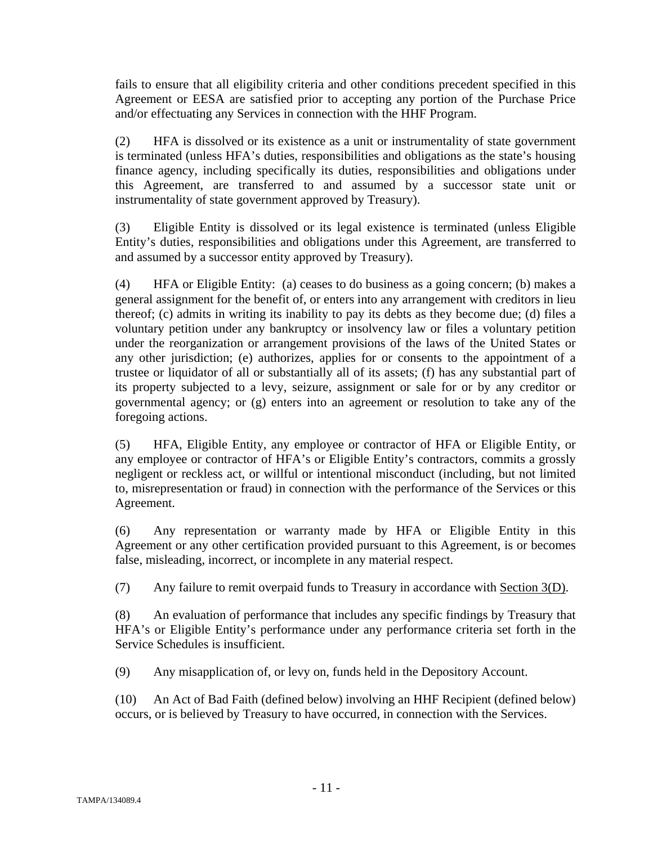fails to ensure that all eligibility criteria and other conditions precedent specified in this Agreement or EESA are satisfied prior to accepting any portion of the Purchase Price and/or effectuating any Services in connection with the HHF Program.

(2) HFA is dissolved or its existence as a unit or instrumentality of state government is terminated (unless HFA's duties, responsibilities and obligations as the state's housing finance agency, including specifically its duties, responsibilities and obligations under this Agreement, are transferred to and assumed by a successor state unit or instrumentality of state government approved by Treasury).

(3) Eligible Entity is dissolved or its legal existence is terminated (unless Eligible Entity's duties, responsibilities and obligations under this Agreement, are transferred to and assumed by a successor entity approved by Treasury).

(4) HFA or Eligible Entity: (a) ceases to do business as a going concern; (b) makes a general assignment for the benefit of, or enters into any arrangement with creditors in lieu thereof; (c) admits in writing its inability to pay its debts as they become due; (d) files a voluntary petition under any bankruptcy or insolvency law or files a voluntary petition under the reorganization or arrangement provisions of the laws of the United States or any other jurisdiction; (e) authorizes, applies for or consents to the appointment of a trustee or liquidator of all or substantially all of its assets; (f) has any substantial part of its property subjected to a levy, seizure, assignment or sale for or by any creditor or governmental agency; or (g) enters into an agreement or resolution to take any of the foregoing actions.

(5) HFA, Eligible Entity, any employee or contractor of HFA or Eligible Entity, or any employee or contractor of HFA's or Eligible Entity's contractors, commits a grossly negligent or reckless act, or willful or intentional misconduct (including, but not limited to, misrepresentation or fraud) in connection with the performance of the Services or this Agreement.

(6) Any representation or warranty made by HFA or Eligible Entity in this Agreement or any other certification provided pursuant to this Agreement, is or becomes false, misleading, incorrect, or incomplete in any material respect.

(7) Any failure to remit overpaid funds to Treasury in accordance with Section 3(D).

(8) An evaluation of performance that includes any specific findings by Treasury that HFA's or Eligible Entity's performance under any performance criteria set forth in the Service Schedules is insufficient.

(9) Any misapplication of, or levy on, funds held in the Depository Account.

(10) An Act of Bad Faith (defined below) involving an HHF Recipient (defined below) occurs, or is believed by Treasury to have occurred, in connection with the Services.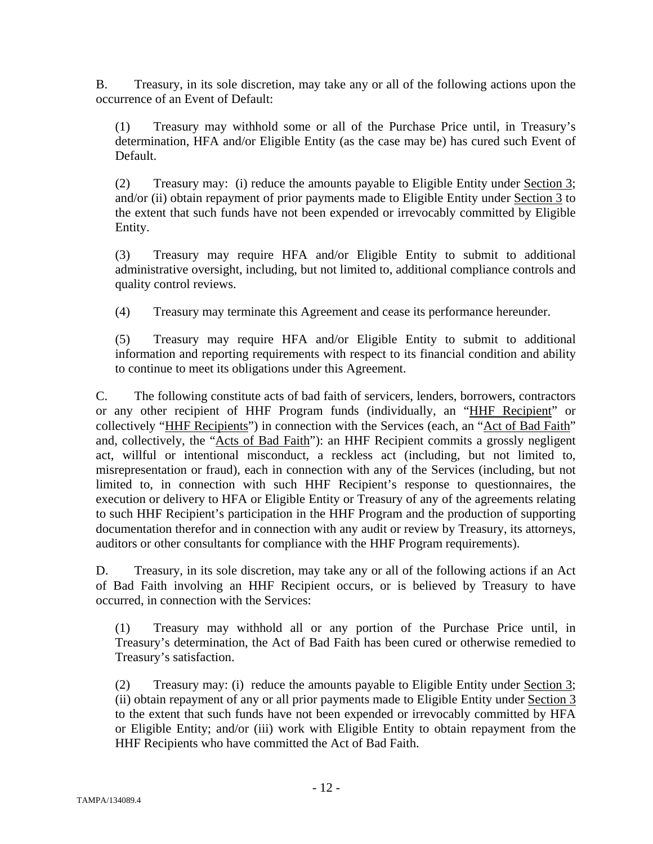B. Treasury, in its sole discretion, may take any or all of the following actions upon the occurrence of an Event of Default:

(1) Treasury may withhold some or all of the Purchase Price until, in Treasury's determination, HFA and/or Eligible Entity (as the case may be) has cured such Event of Default.

(2) Treasury may: (i) reduce the amounts payable to Eligible Entity under Section 3; and/or (ii) obtain repayment of prior payments made to Eligible Entity under Section 3 to the extent that such funds have not been expended or irrevocably committed by Eligible Entity.

(3) Treasury may require HFA and/or Eligible Entity to submit to additional administrative oversight, including, but not limited to, additional compliance controls and quality control reviews.

(4) Treasury may terminate this Agreement and cease its performance hereunder.

(5) Treasury may require HFA and/or Eligible Entity to submit to additional information and reporting requirements with respect to its financial condition and ability to continue to meet its obligations under this Agreement.

C. The following constitute acts of bad faith of servicers, lenders, borrowers, contractors or any other recipient of HHF Program funds (individually, an "HHF Recipient" or collectively "HHF Recipients") in connection with the Services (each, an "Act of Bad Faith" and, collectively, the "Acts of Bad Faith"): an HHF Recipient commits a grossly negligent act, willful or intentional misconduct, a reckless act (including, but not limited to, misrepresentation or fraud), each in connection with any of the Services (including, but not limited to, in connection with such HHF Recipient's response to questionnaires, the execution or delivery to HFA or Eligible Entity or Treasury of any of the agreements relating to such HHF Recipient's participation in the HHF Program and the production of supporting documentation therefor and in connection with any audit or review by Treasury, its attorneys, auditors or other consultants for compliance with the HHF Program requirements).

D. Treasury, in its sole discretion, may take any or all of the following actions if an Act of Bad Faith involving an HHF Recipient occurs, or is believed by Treasury to have occurred, in connection with the Services:

(1) Treasury may withhold all or any portion of the Purchase Price until, in Treasury's determination, the Act of Bad Faith has been cured or otherwise remedied to Treasury's satisfaction.

(2) Treasury may: (i) reduce the amounts payable to Eligible Entity under Section 3; (ii) obtain repayment of any or all prior payments made to Eligible Entity under Section 3 to the extent that such funds have not been expended or irrevocably committed by HFA or Eligible Entity; and/or (iii) work with Eligible Entity to obtain repayment from the HHF Recipients who have committed the Act of Bad Faith.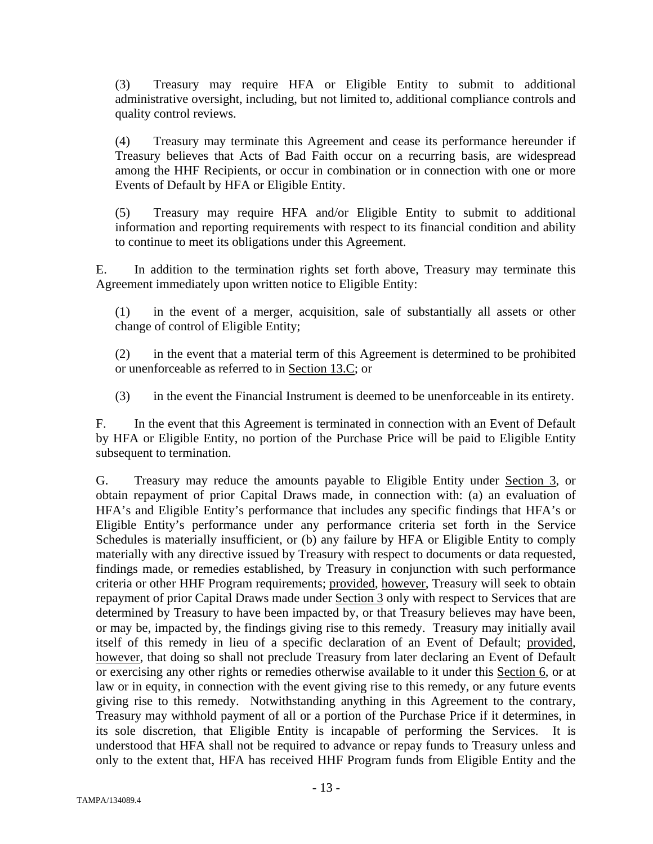(3) Treasury may require HFA or Eligible Entity to submit to additional administrative oversight, including, but not limited to, additional compliance controls and quality control reviews.

(4) Treasury may terminate this Agreement and cease its performance hereunder if Treasury believes that Acts of Bad Faith occur on a recurring basis, are widespread among the HHF Recipients, or occur in combination or in connection with one or more Events of Default by HFA or Eligible Entity.

(5) Treasury may require HFA and/or Eligible Entity to submit to additional information and reporting requirements with respect to its financial condition and ability to continue to meet its obligations under this Agreement.

E. In addition to the termination rights set forth above, Treasury may terminate this Agreement immediately upon written notice to Eligible Entity:

(1) in the event of a merger, acquisition, sale of substantially all assets or other change of control of Eligible Entity;

(2) in the event that a material term of this Agreement is determined to be prohibited or unenforceable as referred to in Section 13.C; or

(3) in the event the Financial Instrument is deemed to be unenforceable in its entirety.

F. In the event that this Agreement is terminated in connection with an Event of Default by HFA or Eligible Entity, no portion of the Purchase Price will be paid to Eligible Entity subsequent to termination.

G. Treasury may reduce the amounts payable to Eligible Entity under Section 3, or obtain repayment of prior Capital Draws made, in connection with: (a) an evaluation of HFA's and Eligible Entity's performance that includes any specific findings that HFA's or Eligible Entity's performance under any performance criteria set forth in the Service Schedules is materially insufficient, or (b) any failure by HFA or Eligible Entity to comply materially with any directive issued by Treasury with respect to documents or data requested, findings made, or remedies established, by Treasury in conjunction with such performance criteria or other HHF Program requirements; provided, however, Treasury will seek to obtain repayment of prior Capital Draws made under Section 3 only with respect to Services that are determined by Treasury to have been impacted by, or that Treasury believes may have been, or may be, impacted by, the findings giving rise to this remedy. Treasury may initially avail itself of this remedy in lieu of a specific declaration of an Event of Default; provided, however, that doing so shall not preclude Treasury from later declaring an Event of Default or exercising any other rights or remedies otherwise available to it under this Section 6, or at law or in equity, in connection with the event giving rise to this remedy, or any future events giving rise to this remedy. Notwithstanding anything in this Agreement to the contrary, Treasury may withhold payment of all or a portion of the Purchase Price if it determines, in its sole discretion, that Eligible Entity is incapable of performing the Services. It is understood that HFA shall not be required to advance or repay funds to Treasury unless and only to the extent that, HFA has received HHF Program funds from Eligible Entity and the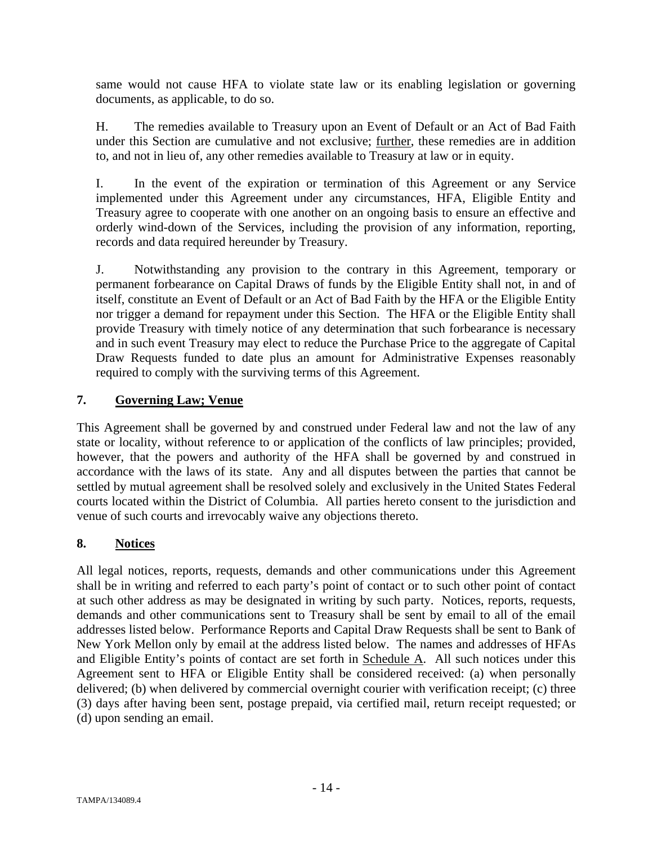same would not cause HFA to violate state law or its enabling legislation or governing documents, as applicable, to do so.

H. The remedies available to Treasury upon an Event of Default or an Act of Bad Faith under this Section are cumulative and not exclusive; further, these remedies are in addition to, and not in lieu of, any other remedies available to Treasury at law or in equity.

I. In the event of the expiration or termination of this Agreement or any Service implemented under this Agreement under any circumstances, HFA, Eligible Entity and Treasury agree to cooperate with one another on an ongoing basis to ensure an effective and orderly wind-down of the Services, including the provision of any information, reporting, records and data required hereunder by Treasury.

J. Notwithstanding any provision to the contrary in this Agreement, temporary or permanent forbearance on Capital Draws of funds by the Eligible Entity shall not, in and of itself, constitute an Event of Default or an Act of Bad Faith by the HFA or the Eligible Entity nor trigger a demand for repayment under this Section. The HFA or the Eligible Entity shall provide Treasury with timely notice of any determination that such forbearance is necessary and in such event Treasury may elect to reduce the Purchase Price to the aggregate of Capital Draw Requests funded to date plus an amount for Administrative Expenses reasonably required to comply with the surviving terms of this Agreement.

# **7. Governing Law; Venue**

This Agreement shall be governed by and construed under Federal law and not the law of any state or locality, without reference to or application of the conflicts of law principles; provided, however, that the powers and authority of the HFA shall be governed by and construed in accordance with the laws of its state. Any and all disputes between the parties that cannot be settled by mutual agreement shall be resolved solely and exclusively in the United States Federal courts located within the District of Columbia. All parties hereto consent to the jurisdiction and venue of such courts and irrevocably waive any objections thereto.

# **8. Notices**

All legal notices, reports, requests, demands and other communications under this Agreement shall be in writing and referred to each party's point of contact or to such other point of contact at such other address as may be designated in writing by such party. Notices, reports, requests, demands and other communications sent to Treasury shall be sent by email to all of the email addresses listed below. Performance Reports and Capital Draw Requests shall be sent to Bank of New York Mellon only by email at the address listed below. The names and addresses of HFAs and Eligible Entity's points of contact are set forth in Schedule A. All such notices under this Agreement sent to HFA or Eligible Entity shall be considered received: (a) when personally delivered; (b) when delivered by commercial overnight courier with verification receipt; (c) three (3) days after having been sent, postage prepaid, via certified mail, return receipt requested; or (d) upon sending an email.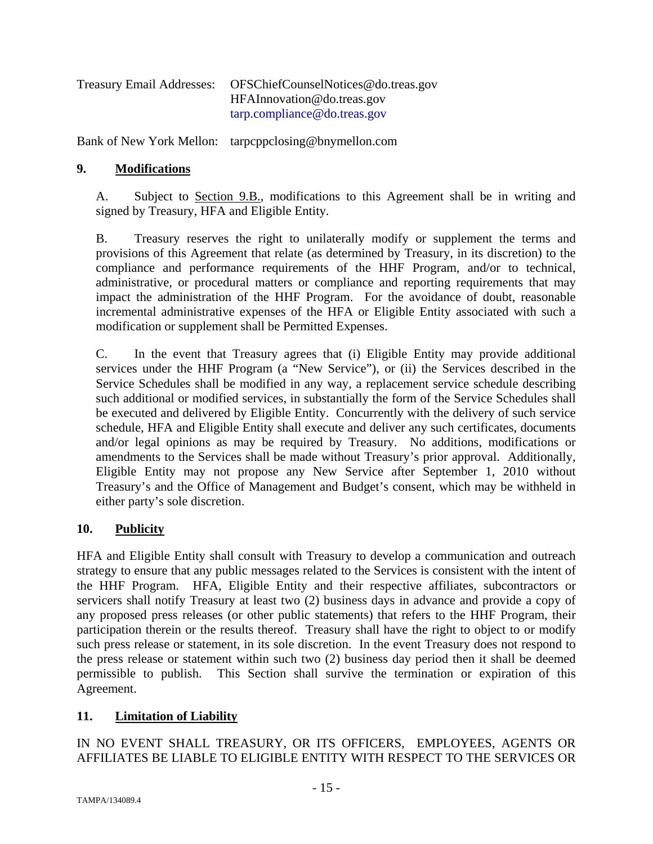| <b>Treasury Email Addresses:</b> | OFSChiefCounselNotices@do.treas.gov |
|----------------------------------|-------------------------------------|
|                                  | HFAInnovation@do.treas.gov          |
|                                  | tarp.compline@do.treas.gov          |

Bank of New York Mellon: tarpcppclosing@bnymellon.com

## **9. Modifications**

A. Subject to Section 9.B., modifications to this Agreement shall be in writing and signed by Treasury, HFA and Eligible Entity.

B. Treasury reserves the right to unilaterally modify or supplement the terms and provisions of this Agreement that relate (as determined by Treasury, in its discretion) to the compliance and performance requirements of the HHF Program, and/or to technical, administrative, or procedural matters or compliance and reporting requirements that may impact the administration of the HHF Program. For the avoidance of doubt, reasonable incremental administrative expenses of the HFA or Eligible Entity associated with such a modification or supplement shall be Permitted Expenses.

C. In the event that Treasury agrees that (i) Eligible Entity may provide additional services under the HHF Program (a "New Service"), or (ii) the Services described in the Service Schedules shall be modified in any way, a replacement service schedule describing such additional or modified services, in substantially the form of the Service Schedules shall be executed and delivered by Eligible Entity. Concurrently with the delivery of such service schedule, HFA and Eligible Entity shall execute and deliver any such certificates, documents and/or legal opinions as may be required by Treasury. No additions, modifications or amendments to the Services shall be made without Treasury's prior approval. Additionally, Eligible Entity may not propose any New Service after September 1, 2010 without Treasury's and the Office of Management and Budget's consent, which may be withheld in either party's sole discretion.

# **10. Publicity**

HFA and Eligible Entity shall consult with Treasury to develop a communication and outreach strategy to ensure that any public messages related to the Services is consistent with the intent of the HHF Program. HFA, Eligible Entity and their respective affiliates, subcontractors or servicers shall notify Treasury at least two (2) business days in advance and provide a copy of any proposed press releases (or other public statements) that refers to the HHF Program, their participation therein or the results thereof. Treasury shall have the right to object to or modify such press release or statement, in its sole discretion. In the event Treasury does not respond to the press release or statement within such two (2) business day period then it shall be deemed permissible to publish. This Section shall survive the termination or expiration of this Agreement.

# **11. Limitation of Liability**

IN NO EVENT SHALL TREASURY, OR ITS OFFICERS, EMPLOYEES, AGENTS OR AFFILIATES BE LIABLE TO ELIGIBLE ENTITY WITH RESPECT TO THE SERVICES OR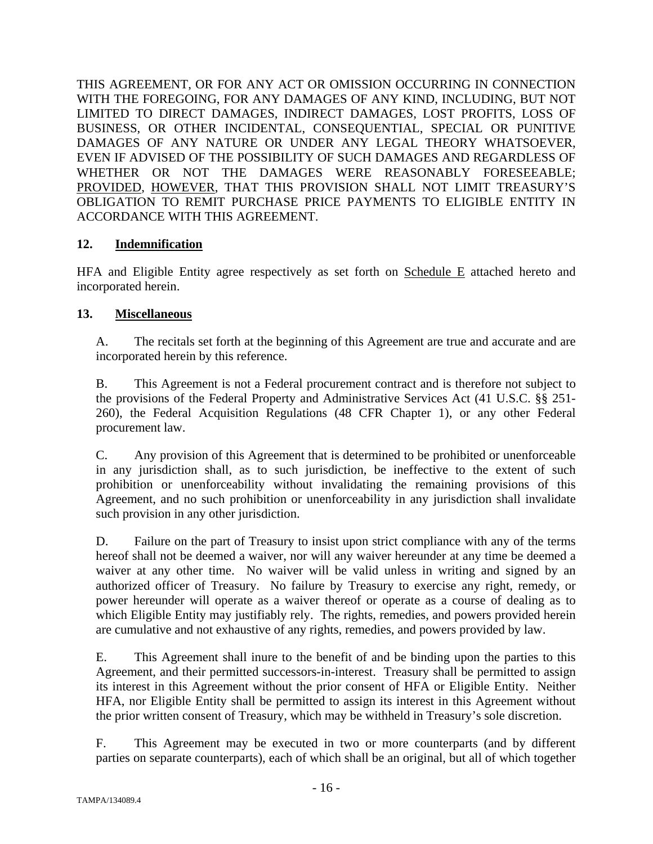THIS AGREEMENT, OR FOR ANY ACT OR OMISSION OCCURRING IN CONNECTION WITH THE FOREGOING, FOR ANY DAMAGES OF ANY KIND, INCLUDING, BUT NOT LIMITED TO DIRECT DAMAGES, INDIRECT DAMAGES, LOST PROFITS, LOSS OF BUSINESS, OR OTHER INCIDENTAL, CONSEQUENTIAL, SPECIAL OR PUNITIVE DAMAGES OF ANY NATURE OR UNDER ANY LEGAL THEORY WHATSOEVER, EVEN IF ADVISED OF THE POSSIBILITY OF SUCH DAMAGES AND REGARDLESS OF WHETHER OR NOT THE DAMAGES WERE REASONABLY FORESEEABLE; PROVIDED, HOWEVER, THAT THIS PROVISION SHALL NOT LIMIT TREASURY'S OBLIGATION TO REMIT PURCHASE PRICE PAYMENTS TO ELIGIBLE ENTITY IN ACCORDANCE WITH THIS AGREEMENT.

# **12. Indemnification**

HFA and Eligible Entity agree respectively as set forth on Schedule E attached hereto and incorporated herein.

# **13. Miscellaneous**

A. The recitals set forth at the beginning of this Agreement are true and accurate and are incorporated herein by this reference.

B. This Agreement is not a Federal procurement contract and is therefore not subject to the provisions of the Federal Property and Administrative Services Act (41 U.S.C. §§ 251- 260), the Federal Acquisition Regulations (48 CFR Chapter 1), or any other Federal procurement law.

C. Any provision of this Agreement that is determined to be prohibited or unenforceable in any jurisdiction shall, as to such jurisdiction, be ineffective to the extent of such prohibition or unenforceability without invalidating the remaining provisions of this Agreement, and no such prohibition or unenforceability in any jurisdiction shall invalidate such provision in any other jurisdiction.

D. Failure on the part of Treasury to insist upon strict compliance with any of the terms hereof shall not be deemed a waiver, nor will any waiver hereunder at any time be deemed a waiver at any other time. No waiver will be valid unless in writing and signed by an authorized officer of Treasury. No failure by Treasury to exercise any right, remedy, or power hereunder will operate as a waiver thereof or operate as a course of dealing as to which Eligible Entity may justifiably rely. The rights, remedies, and powers provided herein are cumulative and not exhaustive of any rights, remedies, and powers provided by law.

E. This Agreement shall inure to the benefit of and be binding upon the parties to this Agreement, and their permitted successors-in-interest. Treasury shall be permitted to assign its interest in this Agreement without the prior consent of HFA or Eligible Entity. Neither HFA, nor Eligible Entity shall be permitted to assign its interest in this Agreement without the prior written consent of Treasury, which may be withheld in Treasury's sole discretion.

F. This Agreement may be executed in two or more counterparts (and by different parties on separate counterparts), each of which shall be an original, but all of which together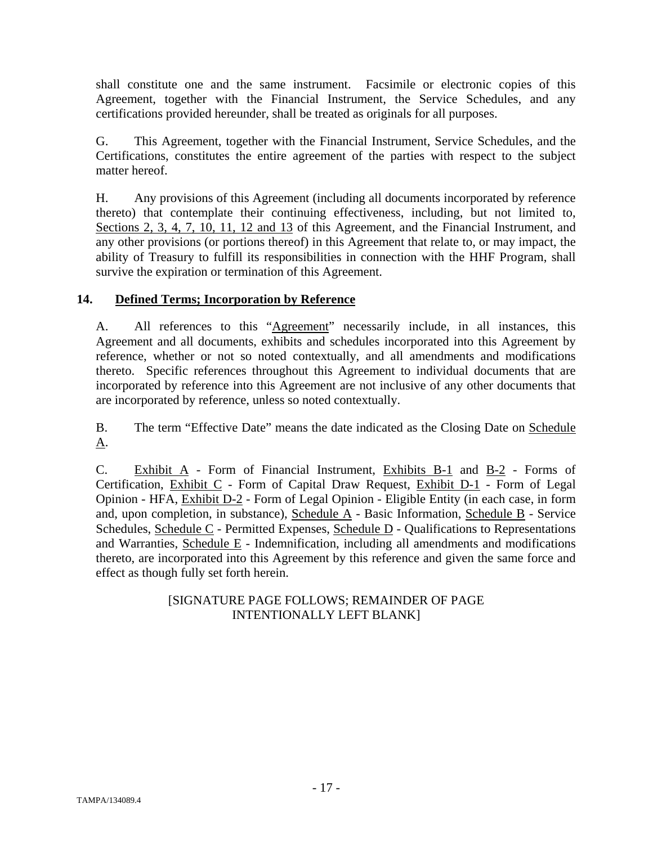shall constitute one and the same instrument. Facsimile or electronic copies of this Agreement, together with the Financial Instrument, the Service Schedules, and any certifications provided hereunder, shall be treated as originals for all purposes.

G. This Agreement, together with the Financial Instrument, Service Schedules, and the Certifications, constitutes the entire agreement of the parties with respect to the subject matter hereof.

H. Any provisions of this Agreement (including all documents incorporated by reference thereto) that contemplate their continuing effectiveness, including, but not limited to, Sections 2, 3, 4, 7, 10, 11, 12 and 13 of this Agreement, and the Financial Instrument, and any other provisions (or portions thereof) in this Agreement that relate to, or may impact, the ability of Treasury to fulfill its responsibilities in connection with the HHF Program, shall survive the expiration or termination of this Agreement.

# **14. Defined Terms; Incorporation by Reference**

A. All references to this "Agreement" necessarily include, in all instances, this Agreement and all documents, exhibits and schedules incorporated into this Agreement by reference, whether or not so noted contextually, and all amendments and modifications thereto. Specific references throughout this Agreement to individual documents that are incorporated by reference into this Agreement are not inclusive of any other documents that are incorporated by reference, unless so noted contextually.

B. The term "Effective Date" means the date indicated as the Closing Date on Schedule A.

C. Exhibit A - Form of Financial Instrument, Exhibits B-1 and B-2 - Forms of Certification, Exhibit C - Form of Capital Draw Request, Exhibit D-1 - Form of Legal Opinion - HFA, Exhibit D-2 - Form of Legal Opinion - Eligible Entity (in each case, in form and, upon completion, in substance), Schedule A - Basic Information, Schedule B - Service Schedules, Schedule C - Permitted Expenses, Schedule D - Qualifications to Representations and Warranties, Schedule E - Indemnification, including all amendments and modifications thereto, are incorporated into this Agreement by this reference and given the same force and effect as though fully set forth herein.

# [SIGNATURE PAGE FOLLOWS; REMAINDER OF PAGE INTENTIONALLY LEFT BLANK]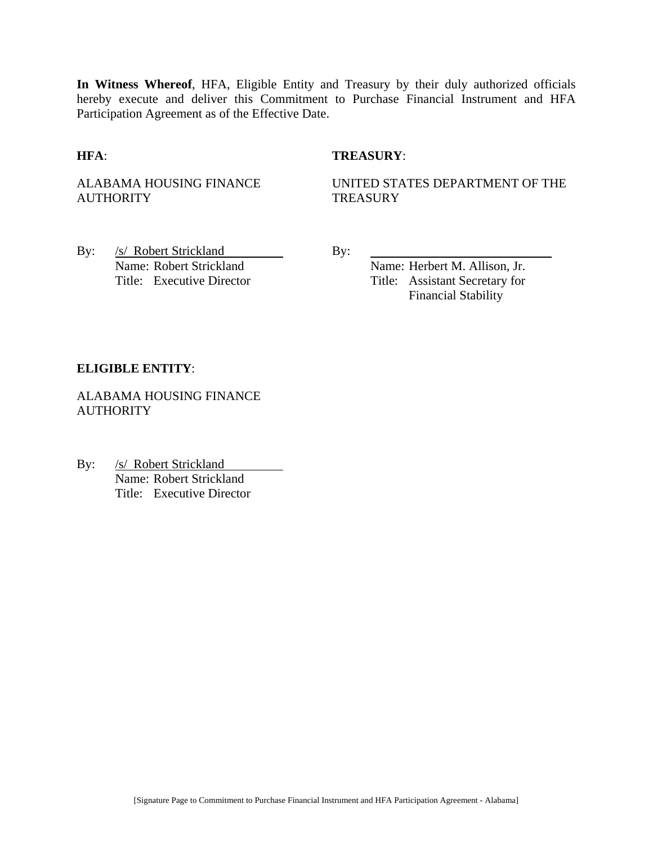**In Witness Whereof**, HFA, Eligible Entity and Treasury by their duly authorized officials hereby execute and deliver this Commitment to Purchase Financial Instrument and HFA Participation Agreement as of the Effective Date.

## **HFA**: **TREASURY**:

ALABAMA HOUSING FINANCE **AUTHORITY** 

UNITED STATES DEPARTMENT OF THE **TREASURY** 

By: /s/ Robert Strickland By: Name: Robert Strickland Name: Herbert M. Allison, Jr.

Title: Executive Director Title: Assistant Secretary for Financial Stability

#### **ELIGIBLE ENTITY**:

ALABAMA HOUSING FINANCE **AUTHORITY** 

By: /s/ Robert Strickland Name: Robert Strickland Title: Executive Director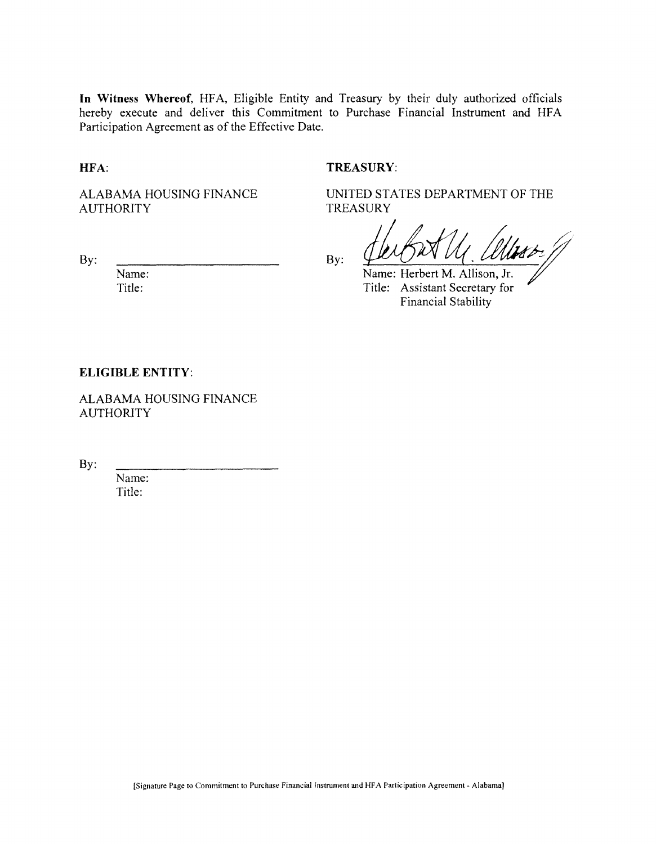**In Witness Whereof,** HFA, Eligible Entity and Treasury by their duly authorized officials hereby execute and deliver this Commitment to Purchase Financial Instrument and HFA Participation Agreement as of the Effective Date.

**HFA:**

#### **TREASURY:**

ALABAMA HOUSING FINANCE AUTHORITY

**TREASURY** 

UNITED STATES DEPARTMENT OF THE

By:

Name:

Title:

By:  $\frac{\sqrt{\mu}}{\text{Name: Herbert M. Allison, Jr.}}$ 

Title: Assistant Secretary for Financial Stability

#### **ELIGIBLE ENTITY:**

ALABAMA HOUSING FINANCE **AUTHORITY** 

By:

Name: Title: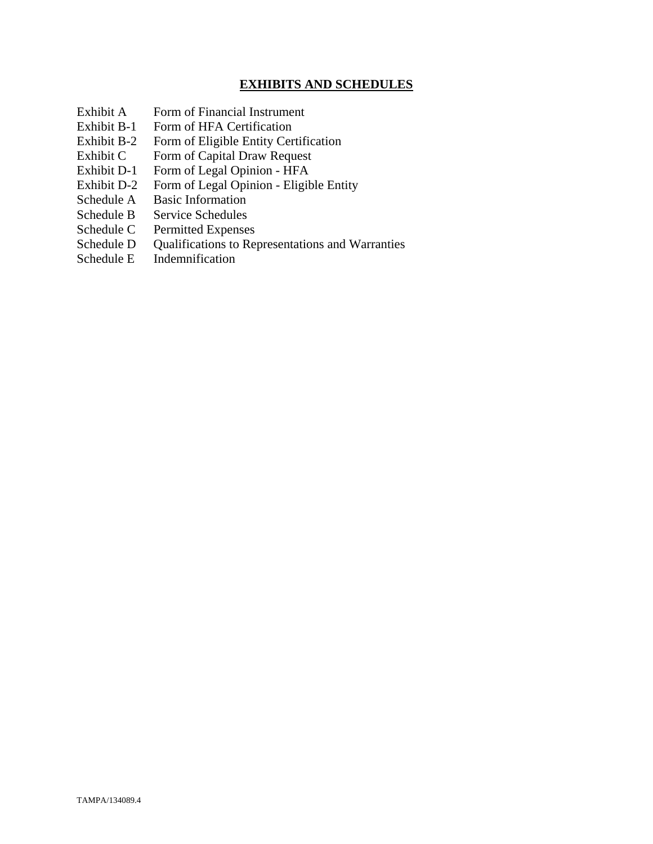# **EXHIBITS AND SCHEDULES**

- Exhibit A Form of Financial Instrument
- Exhibit B-1 Form of HFA Certification
- Exhibit B-2 Form of Eligible Entity Certification
- Exhibit C Form of Capital Draw Request
- Exhibit D-1 Form of Legal Opinion HFA
- Exhibit D-2 Form of Legal Opinion Eligible Entity
- Schedule A Basic Information
- Schedule B Service Schedules
- Schedule C Permitted Expenses
- Schedule D Qualifications to Representations and Warranties
- Schedule E Indemnification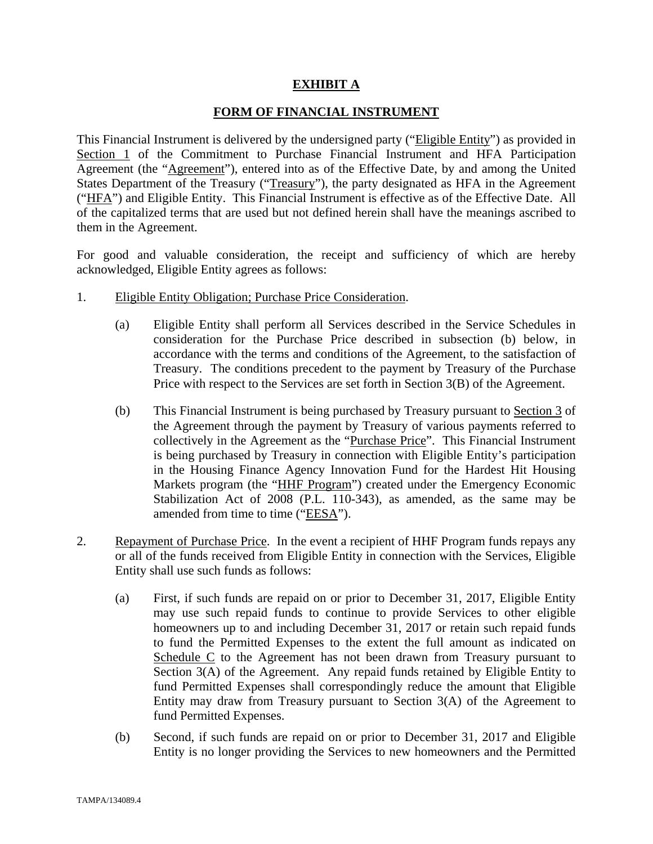## **EXHIBIT A**

## **FORM OF FINANCIAL INSTRUMENT**

This Financial Instrument is delivered by the undersigned party ("Eligible Entity") as provided in Section 1 of the Commitment to Purchase Financial Instrument and HFA Participation Agreement (the "Agreement"), entered into as of the Effective Date, by and among the United States Department of the Treasury ("Treasury"), the party designated as HFA in the Agreement ("HFA") and Eligible Entity. This Financial Instrument is effective as of the Effective Date. All of the capitalized terms that are used but not defined herein shall have the meanings ascribed to them in the Agreement.

For good and valuable consideration, the receipt and sufficiency of which are hereby acknowledged, Eligible Entity agrees as follows:

- 1. Eligible Entity Obligation; Purchase Price Consideration.
	- (a) Eligible Entity shall perform all Services described in the Service Schedules in consideration for the Purchase Price described in subsection (b) below, in accordance with the terms and conditions of the Agreement, to the satisfaction of Treasury. The conditions precedent to the payment by Treasury of the Purchase Price with respect to the Services are set forth in Section 3(B) of the Agreement.
	- (b) This Financial Instrument is being purchased by Treasury pursuant to Section 3 of the Agreement through the payment by Treasury of various payments referred to collectively in the Agreement as the "Purchase Price". This Financial Instrument is being purchased by Treasury in connection with Eligible Entity's participation in the Housing Finance Agency Innovation Fund for the Hardest Hit Housing Markets program (the "HHF Program") created under the Emergency Economic Stabilization Act of 2008 (P.L. 110-343), as amended, as the same may be amended from time to time ("EESA").
- 2. Repayment of Purchase Price. In the event a recipient of HHF Program funds repays any or all of the funds received from Eligible Entity in connection with the Services, Eligible Entity shall use such funds as follows:
	- (a) First, if such funds are repaid on or prior to December 31, 2017, Eligible Entity may use such repaid funds to continue to provide Services to other eligible homeowners up to and including December 31, 2017 or retain such repaid funds to fund the Permitted Expenses to the extent the full amount as indicated on Schedule C to the Agreement has not been drawn from Treasury pursuant to Section 3(A) of the Agreement. Any repaid funds retained by Eligible Entity to fund Permitted Expenses shall correspondingly reduce the amount that Eligible Entity may draw from Treasury pursuant to Section 3(A) of the Agreement to fund Permitted Expenses.
	- (b) Second, if such funds are repaid on or prior to December 31, 2017 and Eligible Entity is no longer providing the Services to new homeowners and the Permitted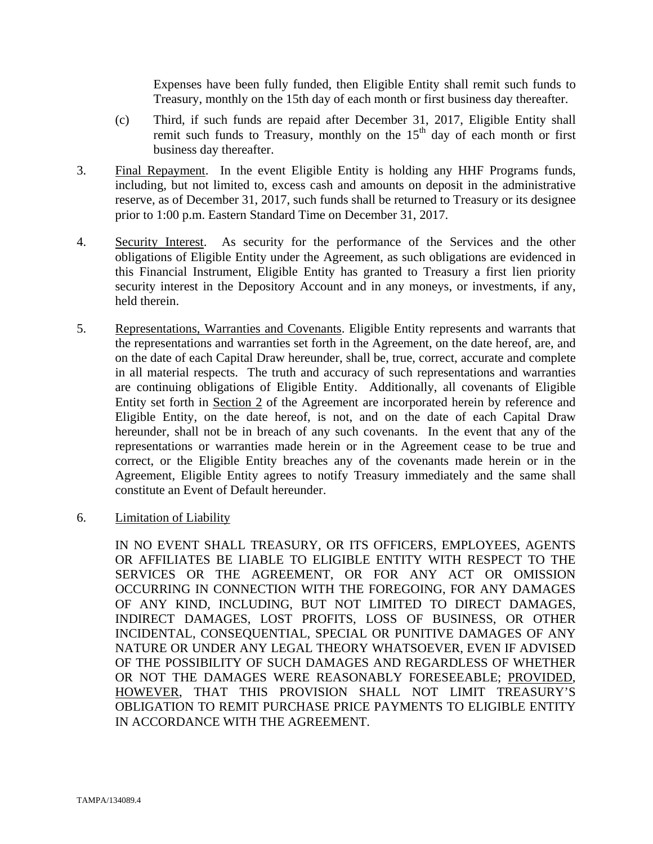Expenses have been fully funded, then Eligible Entity shall remit such funds to Treasury, monthly on the 15th day of each month or first business day thereafter.

- (c) Third, if such funds are repaid after December 31, 2017, Eligible Entity shall remit such funds to Treasury, monthly on the  $15<sup>th</sup>$  day of each month or first business day thereafter.
- 3. Final Repayment. In the event Eligible Entity is holding any HHF Programs funds, including, but not limited to, excess cash and amounts on deposit in the administrative reserve, as of December 31, 2017, such funds shall be returned to Treasury or its designee prior to 1:00 p.m. Eastern Standard Time on December 31, 2017.
- 4. Security Interest. As security for the performance of the Services and the other obligations of Eligible Entity under the Agreement, as such obligations are evidenced in this Financial Instrument, Eligible Entity has granted to Treasury a first lien priority security interest in the Depository Account and in any moneys, or investments, if any, held therein.
- 5. Representations, Warranties and Covenants. Eligible Entity represents and warrants that the representations and warranties set forth in the Agreement, on the date hereof, are, and on the date of each Capital Draw hereunder, shall be, true, correct, accurate and complete in all material respects. The truth and accuracy of such representations and warranties are continuing obligations of Eligible Entity. Additionally, all covenants of Eligible Entity set forth in Section 2 of the Agreement are incorporated herein by reference and Eligible Entity, on the date hereof, is not, and on the date of each Capital Draw hereunder, shall not be in breach of any such covenants. In the event that any of the representations or warranties made herein or in the Agreement cease to be true and correct, or the Eligible Entity breaches any of the covenants made herein or in the Agreement, Eligible Entity agrees to notify Treasury immediately and the same shall constitute an Event of Default hereunder.
- 6. Limitation of Liability

IN NO EVENT SHALL TREASURY, OR ITS OFFICERS, EMPLOYEES, AGENTS OR AFFILIATES BE LIABLE TO ELIGIBLE ENTITY WITH RESPECT TO THE SERVICES OR THE AGREEMENT, OR FOR ANY ACT OR OMISSION OCCURRING IN CONNECTION WITH THE FOREGOING, FOR ANY DAMAGES OF ANY KIND, INCLUDING, BUT NOT LIMITED TO DIRECT DAMAGES, INDIRECT DAMAGES, LOST PROFITS, LOSS OF BUSINESS, OR OTHER INCIDENTAL, CONSEQUENTIAL, SPECIAL OR PUNITIVE DAMAGES OF ANY NATURE OR UNDER ANY LEGAL THEORY WHATSOEVER, EVEN IF ADVISED OF THE POSSIBILITY OF SUCH DAMAGES AND REGARDLESS OF WHETHER OR NOT THE DAMAGES WERE REASONABLY FORESEEABLE; PROVIDED, HOWEVER, THAT THIS PROVISION SHALL NOT LIMIT TREASURY'S OBLIGATION TO REMIT PURCHASE PRICE PAYMENTS TO ELIGIBLE ENTITY IN ACCORDANCE WITH THE AGREEMENT.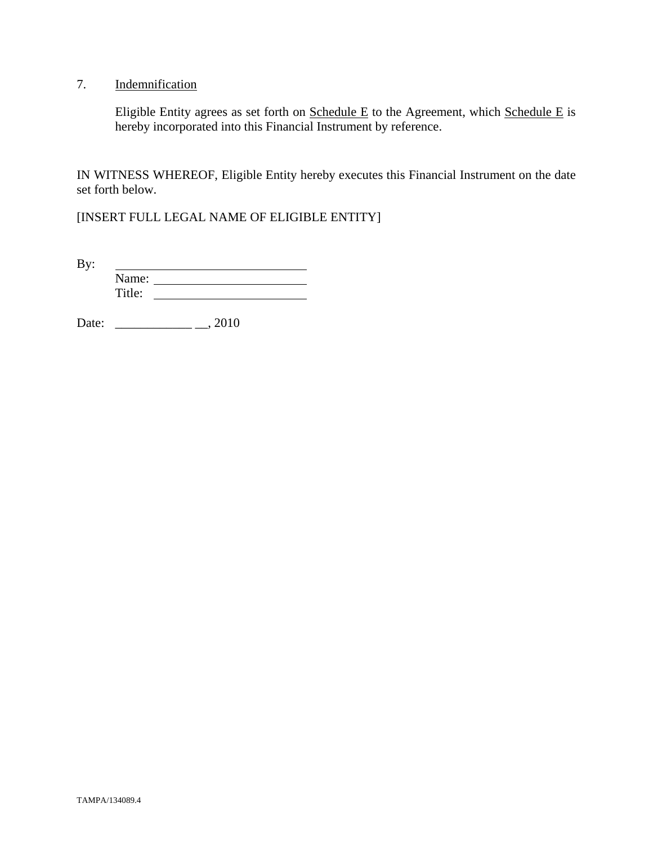# 7. Indemnification

Eligible Entity agrees as set forth on  $S$ chedule E to the Agreement, which  $S$ chedule E is hereby incorporated into this Financial Instrument by reference.

IN WITNESS WHEREOF, Eligible Entity hereby executes this Financial Instrument on the date set forth below.

[INSERT FULL LEGAL NAME OF ELIGIBLE ENTITY]

By: <u> 1989 - Johann Barbara, martin a</u> Name: Title:

Date: \_\_\_\_\_\_\_\_\_\_\_\_ \_\_, 2010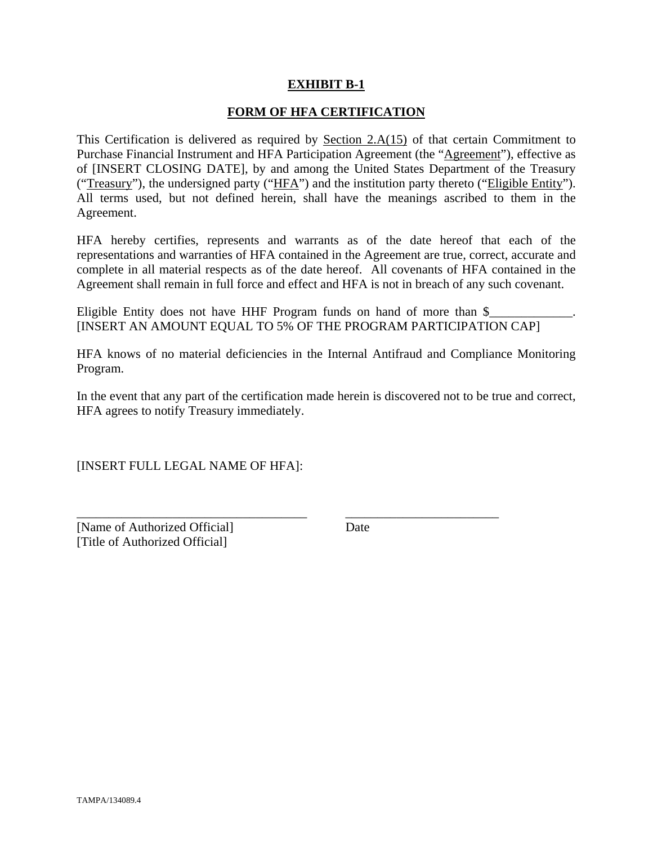## **EXHIBIT B-1**

## **FORM OF HFA CERTIFICATION**

This Certification is delivered as required by Section  $2.A(15)$  of that certain Commitment to Purchase Financial Instrument and HFA Participation Agreement (the "Agreement"), effective as of [INSERT CLOSING DATE], by and among the United States Department of the Treasury ("Treasury"), the undersigned party ("HFA") and the institution party thereto ("Eligible Entity"). All terms used, but not defined herein, shall have the meanings ascribed to them in the Agreement.

HFA hereby certifies, represents and warrants as of the date hereof that each of the representations and warranties of HFA contained in the Agreement are true, correct, accurate and complete in all material respects as of the date hereof. All covenants of HFA contained in the Agreement shall remain in full force and effect and HFA is not in breach of any such covenant.

Eligible Entity does not have HHF Program funds on hand of more than  $\frac{1}{2}$ [INSERT AN AMOUNT EQUAL TO 5% OF THE PROGRAM PARTICIPATION CAP]

HFA knows of no material deficiencies in the Internal Antifraud and Compliance Monitoring Program.

In the event that any part of the certification made herein is discovered not to be true and correct, HFA agrees to notify Treasury immediately.

\_\_\_\_\_\_\_\_\_\_\_\_\_\_\_\_\_\_\_\_\_\_\_\_\_\_\_\_\_\_\_\_\_\_\_\_ \_\_\_\_\_\_\_\_\_\_\_\_\_\_\_\_\_\_\_\_\_\_\_\_

[INSERT FULL LEGAL NAME OF HFA]:

[Name of Authorized Official] Date [Title of Authorized Official]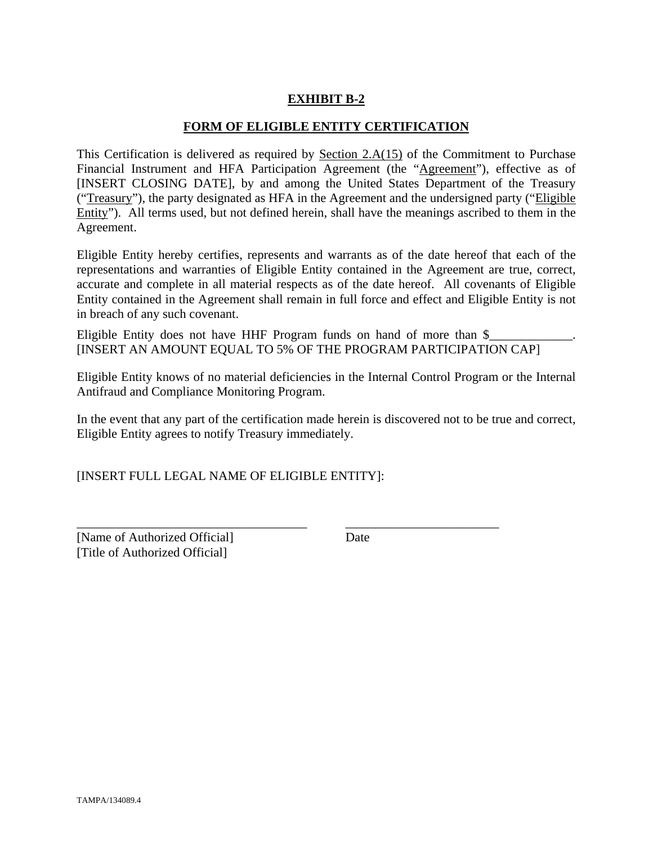# **EXHIBIT B-2**

## **FORM OF ELIGIBLE ENTITY CERTIFICATION**

This Certification is delivered as required by Section 2.A(15) of the Commitment to Purchase Financial Instrument and HFA Participation Agreement (the "Agreement"), effective as of [INSERT CLOSING DATE], by and among the United States Department of the Treasury ("Treasury"), the party designated as HFA in the Agreement and the undersigned party ("Eligible Entity"). All terms used, but not defined herein, shall have the meanings ascribed to them in the Agreement.

Eligible Entity hereby certifies, represents and warrants as of the date hereof that each of the representations and warranties of Eligible Entity contained in the Agreement are true, correct, accurate and complete in all material respects as of the date hereof. All covenants of Eligible Entity contained in the Agreement shall remain in full force and effect and Eligible Entity is not in breach of any such covenant.

Eligible Entity does not have HHF Program funds on hand of more than  $\$ [INSERT AN AMOUNT EQUAL TO 5% OF THE PROGRAM PARTICIPATION CAP]

Eligible Entity knows of no material deficiencies in the Internal Control Program or the Internal Antifraud and Compliance Monitoring Program.

In the event that any part of the certification made herein is discovered not to be true and correct, Eligible Entity agrees to notify Treasury immediately.

\_\_\_\_\_\_\_\_\_\_\_\_\_\_\_\_\_\_\_\_\_\_\_\_\_\_\_\_\_\_\_\_\_\_\_\_ \_\_\_\_\_\_\_\_\_\_\_\_\_\_\_\_\_\_\_\_\_\_\_\_

[INSERT FULL LEGAL NAME OF ELIGIBLE ENTITY]:

[Name of Authorized Official] Date [Title of Authorized Official]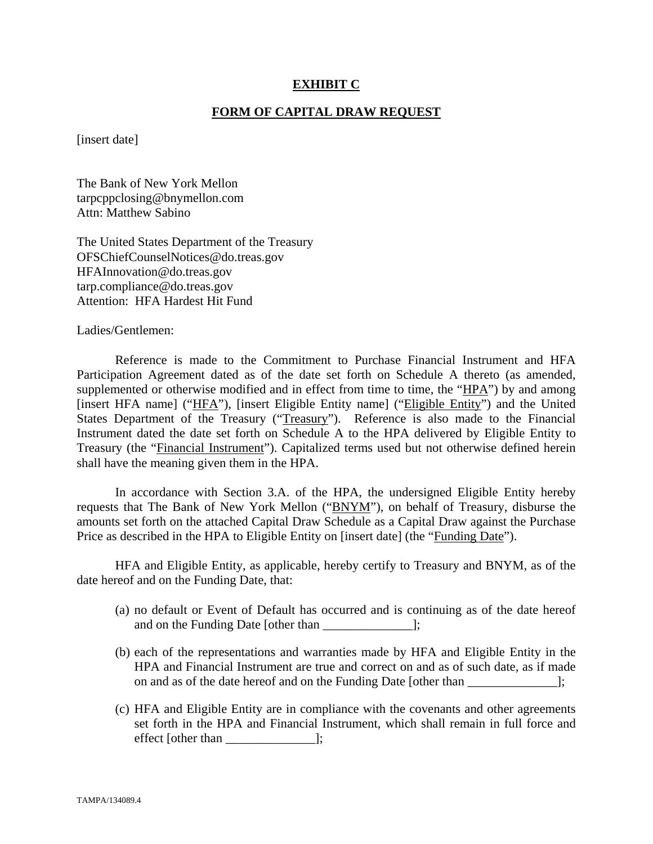## **EXHIBIT C**

#### **FORM OF CAPITAL DRAW REQUEST**

[insert date]

The Bank of New York Mellon tarpcppclosing@bnymellon.com Attn: Matthew Sabino

The United States Department of the Treasury OFSChiefCounselNotices@do.treas.gov HFAInnovation@do.treas.gov tarp.compliance@do.treas.gov Attention: HFA Hardest Hit Fund

Ladies/Gentlemen:

 Reference is made to the Commitment to Purchase Financial Instrument and HFA Participation Agreement dated as of the date set forth on Schedule A thereto (as amended, supplemented or otherwise modified and in effect from time to time, the "HPA") by and among [insert HFA name] ("HFA"), [insert Eligible Entity name] ("Eligible Entity") and the United States Department of the Treasury ("Treasury"). Reference is also made to the Financial Instrument dated the date set forth on Schedule A to the HPA delivered by Eligible Entity to Treasury (the "Financial Instrument"). Capitalized terms used but not otherwise defined herein shall have the meaning given them in the HPA.

 In accordance with Section 3.A. of the HPA, the undersigned Eligible Entity hereby requests that The Bank of New York Mellon ("BNYM"), on behalf of Treasury, disburse the amounts set forth on the attached Capital Draw Schedule as a Capital Draw against the Purchase Price as described in the HPA to Eligible Entity on [insert date] (the "Funding Date").

 HFA and Eligible Entity, as applicable, hereby certify to Treasury and BNYM, as of the date hereof and on the Funding Date, that:

- (a) no default or Event of Default has occurred and is continuing as of the date hereof and on the Funding Date [other than  $\Box$ ];
- (b) each of the representations and warranties made by HFA and Eligible Entity in the HPA and Financial Instrument are true and correct on and as of such date, as if made on and as of the date hereof and on the Funding Date [other than ];
- (c) HFA and Eligible Entity are in compliance with the covenants and other agreements set forth in the HPA and Financial Instrument, which shall remain in full force and effect [other than \_\_\_\_\_\_\_\_\_\_\_\_\_\_];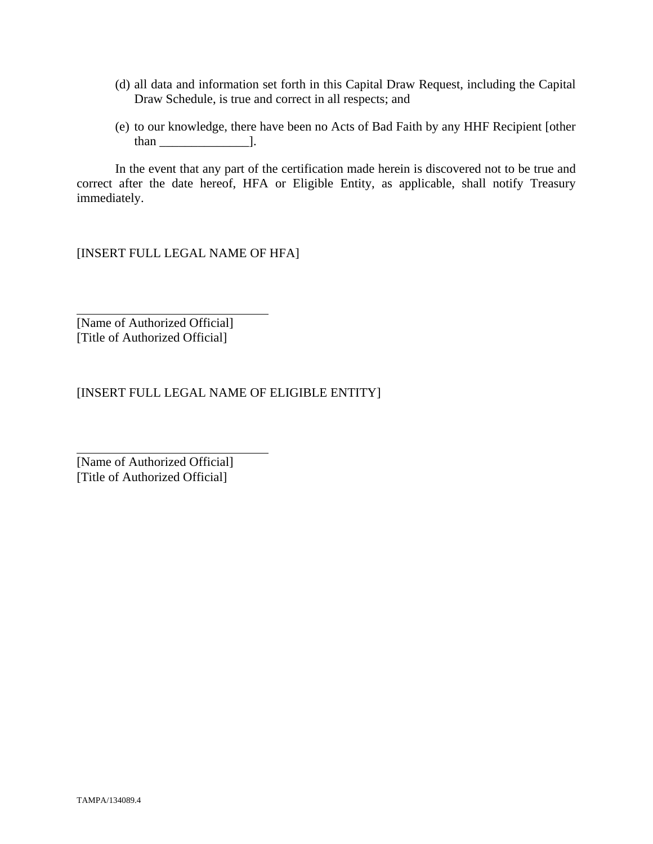- (d) all data and information set forth in this Capital Draw Request, including the Capital Draw Schedule, is true and correct in all respects; and
- (e) to our knowledge, there have been no Acts of Bad Faith by any HHF Recipient [other than  $\qquad$  ].

 In the event that any part of the certification made herein is discovered not to be true and correct after the date hereof, HFA or Eligible Entity, as applicable, shall notify Treasury immediately.

[INSERT FULL LEGAL NAME OF HFA]

[Name of Authorized Official] [Title of Authorized Official]

 $\overline{a}$ 

l

[INSERT FULL LEGAL NAME OF ELIGIBLE ENTITY]

[Name of Authorized Official] [Title of Authorized Official]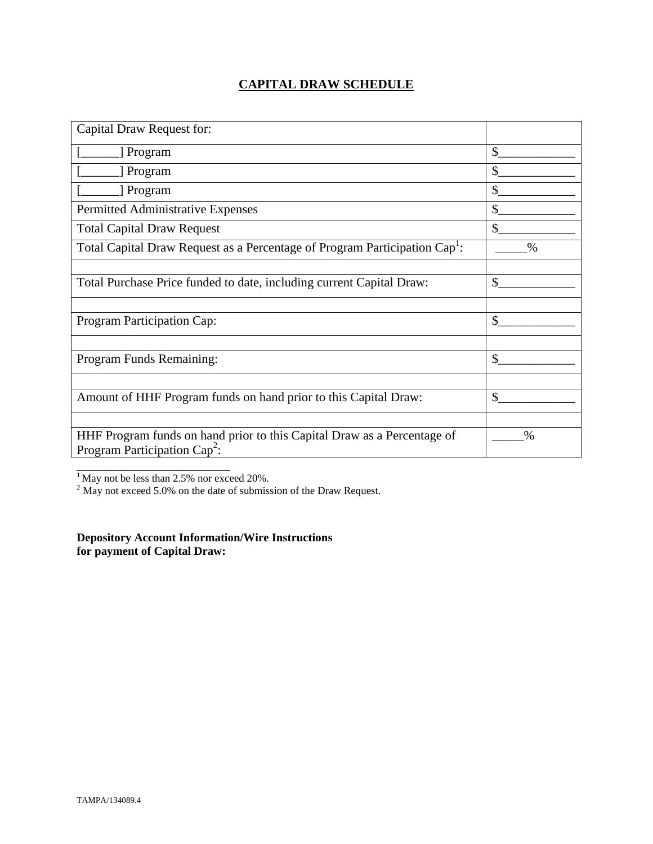# **CAPITAL DRAW SCHEDULE**

| Capital Draw Request for:                                                                                  |               |
|------------------------------------------------------------------------------------------------------------|---------------|
| [ Program                                                                                                  | \$            |
| [ Program                                                                                                  | \$            |
| Program                                                                                                    | \$            |
| Permitted Administrative Expenses                                                                          | \$            |
| <b>Total Capital Draw Request</b>                                                                          | $\mathbb{S}$  |
| Total Capital Draw Request as a Percentage of Program Participation Cap <sup>1</sup> :                     | $\frac{0}{0}$ |
|                                                                                                            |               |
| Total Purchase Price funded to date, including current Capital Draw:                                       | \$            |
|                                                                                                            |               |
| Program Participation Cap:                                                                                 | \$            |
|                                                                                                            |               |
| Program Funds Remaining:                                                                                   | $\mathcal{S}$ |
|                                                                                                            |               |
| Amount of HHF Program funds on hand prior to this Capital Draw:                                            | \$            |
|                                                                                                            |               |
| HHF Program funds on hand prior to this Capital Draw as a Percentage of<br>Program Participation $Cap^2$ : | $\%$          |
|                                                                                                            |               |

<sup>1</sup> May not be less than 2.5% nor exceed 20%.<br><sup>2</sup> May not exceed 5.0% on the date of submission of the Draw Request.

**Depository Account Information/Wire Instructions for payment of Capital Draw:**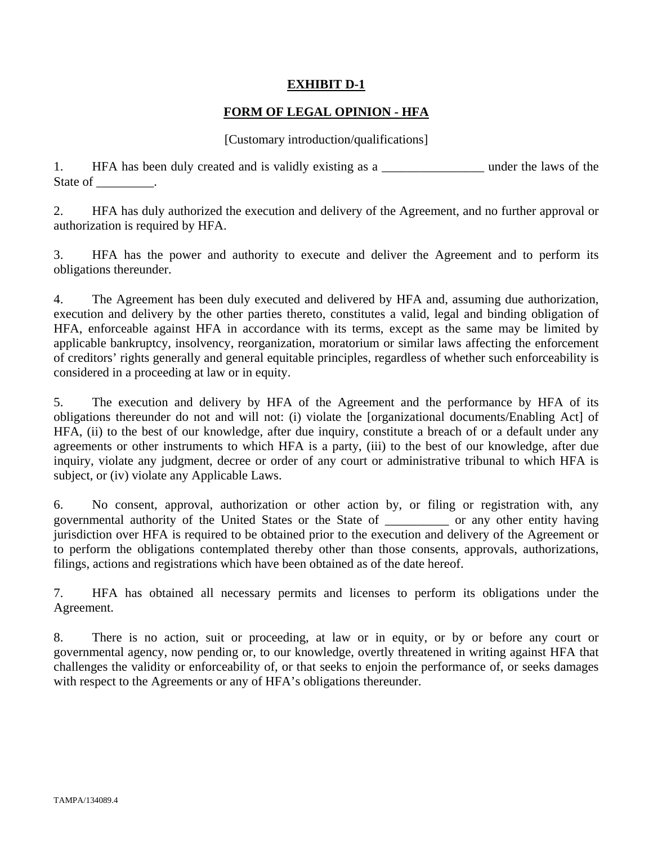# **EXHIBIT D-1**

# **FORM OF LEGAL OPINION - HFA**

## [Customary introduction/qualifications]

1. HFA has been duly created and is validly existing as a \_\_\_\_\_\_\_\_\_\_\_\_\_\_\_\_\_\_\_\_ under the laws of the State of \_\_\_\_\_\_\_\_\_.

2. HFA has duly authorized the execution and delivery of the Agreement, and no further approval or authorization is required by HFA.

3. HFA has the power and authority to execute and deliver the Agreement and to perform its obligations thereunder.

4. The Agreement has been duly executed and delivered by HFA and, assuming due authorization, execution and delivery by the other parties thereto, constitutes a valid, legal and binding obligation of HFA, enforceable against HFA in accordance with its terms, except as the same may be limited by applicable bankruptcy, insolvency, reorganization, moratorium or similar laws affecting the enforcement of creditors' rights generally and general equitable principles, regardless of whether such enforceability is considered in a proceeding at law or in equity.

5. The execution and delivery by HFA of the Agreement and the performance by HFA of its obligations thereunder do not and will not: (i) violate the [organizational documents/Enabling Act] of HFA, (ii) to the best of our knowledge, after due inquiry, constitute a breach of or a default under any agreements or other instruments to which HFA is a party, (iii) to the best of our knowledge, after due inquiry, violate any judgment, decree or order of any court or administrative tribunal to which HFA is subject, or (iv) violate any Applicable Laws.

6. No consent, approval, authorization or other action by, or filing or registration with, any governmental authority of the United States or the State of \_\_\_\_\_\_\_\_\_\_ or any other entity having jurisdiction over HFA is required to be obtained prior to the execution and delivery of the Agreement or to perform the obligations contemplated thereby other than those consents, approvals, authorizations, filings, actions and registrations which have been obtained as of the date hereof.

7. HFA has obtained all necessary permits and licenses to perform its obligations under the Agreement.

8. There is no action, suit or proceeding, at law or in equity, or by or before any court or governmental agency, now pending or, to our knowledge, overtly threatened in writing against HFA that challenges the validity or enforceability of, or that seeks to enjoin the performance of, or seeks damages with respect to the Agreements or any of HFA's obligations thereunder.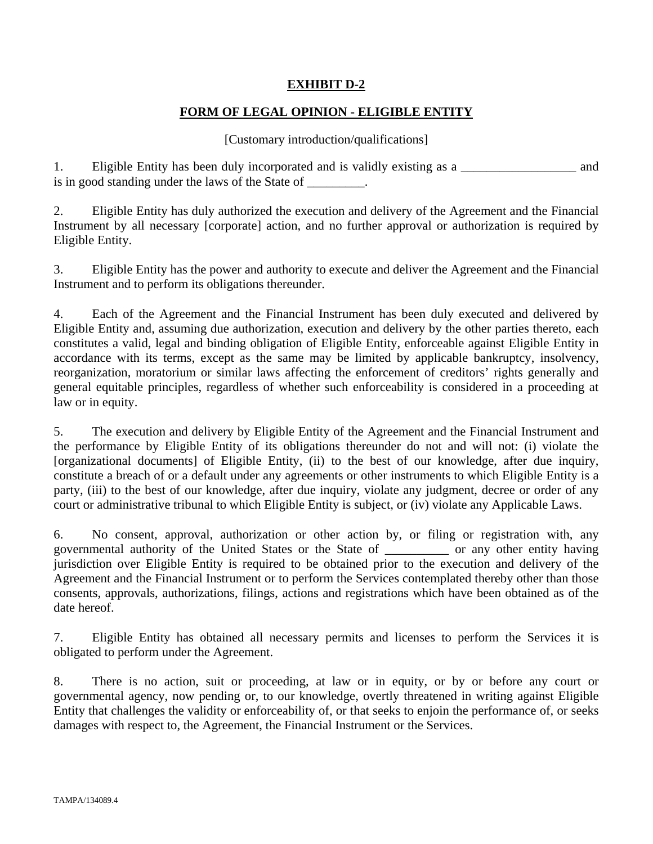# **EXHIBIT D-2**

# **FORM OF LEGAL OPINION - ELIGIBLE ENTITY**

## [Customary introduction/qualifications]

1. Eligible Entity has been duly incorporated and is validly existing as a \_\_\_\_\_\_\_\_\_\_\_\_\_\_\_\_\_\_ and is in good standing under the laws of the State of \_\_\_\_\_\_\_\_.

2. Eligible Entity has duly authorized the execution and delivery of the Agreement and the Financial Instrument by all necessary [corporate] action, and no further approval or authorization is required by Eligible Entity.

3. Eligible Entity has the power and authority to execute and deliver the Agreement and the Financial Instrument and to perform its obligations thereunder.

4. Each of the Agreement and the Financial Instrument has been duly executed and delivered by Eligible Entity and, assuming due authorization, execution and delivery by the other parties thereto, each constitutes a valid, legal and binding obligation of Eligible Entity, enforceable against Eligible Entity in accordance with its terms, except as the same may be limited by applicable bankruptcy, insolvency, reorganization, moratorium or similar laws affecting the enforcement of creditors' rights generally and general equitable principles, regardless of whether such enforceability is considered in a proceeding at law or in equity.

5. The execution and delivery by Eligible Entity of the Agreement and the Financial Instrument and the performance by Eligible Entity of its obligations thereunder do not and will not: (i) violate the [organizational documents] of Eligible Entity, (ii) to the best of our knowledge, after due inquiry, constitute a breach of or a default under any agreements or other instruments to which Eligible Entity is a party, (iii) to the best of our knowledge, after due inquiry, violate any judgment, decree or order of any court or administrative tribunal to which Eligible Entity is subject, or (iv) violate any Applicable Laws.

6. No consent, approval, authorization or other action by, or filing or registration with, any governmental authority of the United States or the State of \_\_\_\_\_\_\_\_\_\_ or any other entity having jurisdiction over Eligible Entity is required to be obtained prior to the execution and delivery of the Agreement and the Financial Instrument or to perform the Services contemplated thereby other than those consents, approvals, authorizations, filings, actions and registrations which have been obtained as of the date hereof.

7. Eligible Entity has obtained all necessary permits and licenses to perform the Services it is obligated to perform under the Agreement.

8. There is no action, suit or proceeding, at law or in equity, or by or before any court or governmental agency, now pending or, to our knowledge, overtly threatened in writing against Eligible Entity that challenges the validity or enforceability of, or that seeks to enjoin the performance of, or seeks damages with respect to, the Agreement, the Financial Instrument or the Services.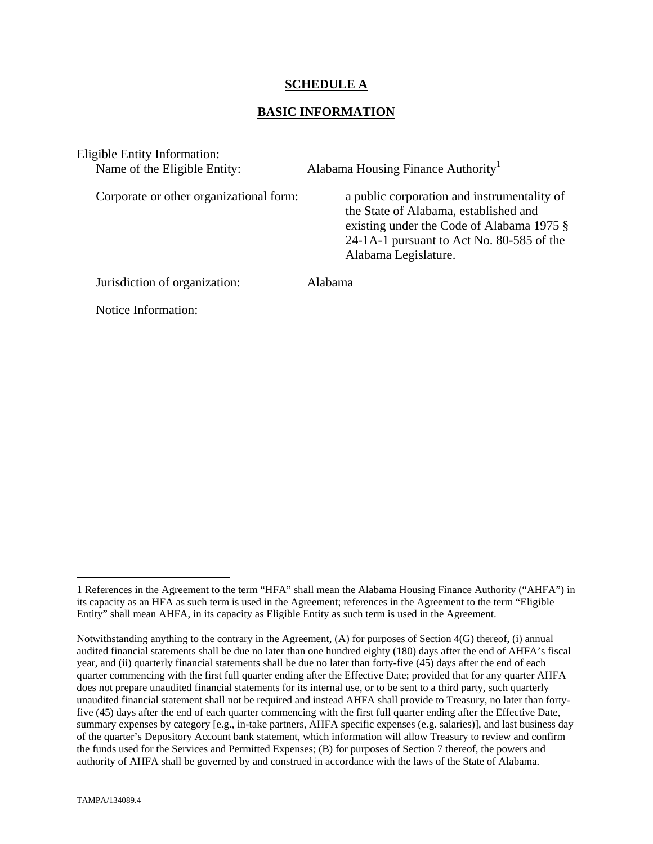## **SCHEDULE A**

## **BASIC INFORMATION**

Eligible Entity Information:

Name of the Eligible Entity:  $\Delta$  Alabama Housing Finance Authority<sup>1</sup>

Corporate or other organizational form: a public corporation and instrumentality of the State of Alabama, established and existing under the Code of Alabama 1975 § 24-1A-1 pursuant to Act No. 80-585 of the Alabama Legislature.

Jurisdiction of organization: Alabama

Notice Information:

1

<sup>1</sup> References in the Agreement to the term "HFA" shall mean the Alabama Housing Finance Authority ("AHFA") in its capacity as an HFA as such term is used in the Agreement; references in the Agreement to the term "Eligible Entity" shall mean AHFA, in its capacity as Eligible Entity as such term is used in the Agreement.

Notwithstanding anything to the contrary in the Agreement, (A) for purposes of Section 4(G) thereof, (i) annual audited financial statements shall be due no later than one hundred eighty (180) days after the end of AHFA's fiscal year, and (ii) quarterly financial statements shall be due no later than forty-five (45) days after the end of each quarter commencing with the first full quarter ending after the Effective Date; provided that for any quarter AHFA does not prepare unaudited financial statements for its internal use, or to be sent to a third party, such quarterly unaudited financial statement shall not be required and instead AHFA shall provide to Treasury, no later than fortyfive (45) days after the end of each quarter commencing with the first full quarter ending after the Effective Date, summary expenses by category [e.g., in-take partners, AHFA specific expenses (e.g. salaries)], and last business day of the quarter's Depository Account bank statement, which information will allow Treasury to review and confirm the funds used for the Services and Permitted Expenses; (B) for purposes of Section 7 thereof, the powers and authority of AHFA shall be governed by and construed in accordance with the laws of the State of Alabama.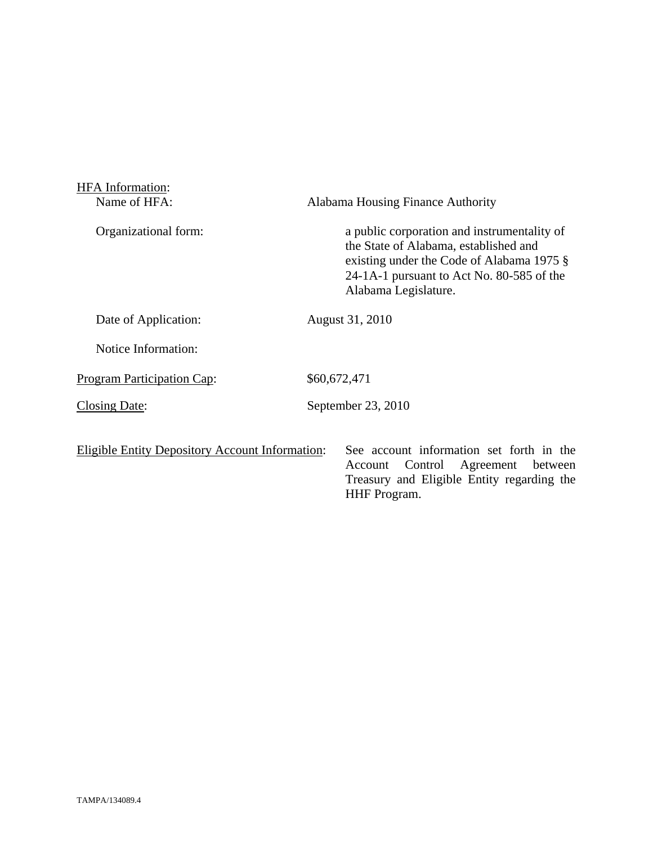| <b>HFA</b> Information:                                |                                                                                                                                                                                                        |
|--------------------------------------------------------|--------------------------------------------------------------------------------------------------------------------------------------------------------------------------------------------------------|
| Name of HFA:                                           | Alabama Housing Finance Authority                                                                                                                                                                      |
| Organizational form:                                   | a public corporation and instrumentality of<br>the State of Alabama, established and<br>existing under the Code of Alabama 1975 §<br>24-1A-1 pursuant to Act No. 80-585 of the<br>Alabama Legislature. |
| Date of Application:                                   | August 31, 2010                                                                                                                                                                                        |
| Notice Information:                                    |                                                                                                                                                                                                        |
| Program Participation Cap:                             | \$60,672,471                                                                                                                                                                                           |
| Closing Date:                                          | September 23, 2010                                                                                                                                                                                     |
| <b>Eligible Entity Depository Account Information:</b> | See account information set forth in the<br>Control Agreement between<br>Account<br>Treasury and Eligible Entity regarding the<br><b>HHF</b> Program.                                                  |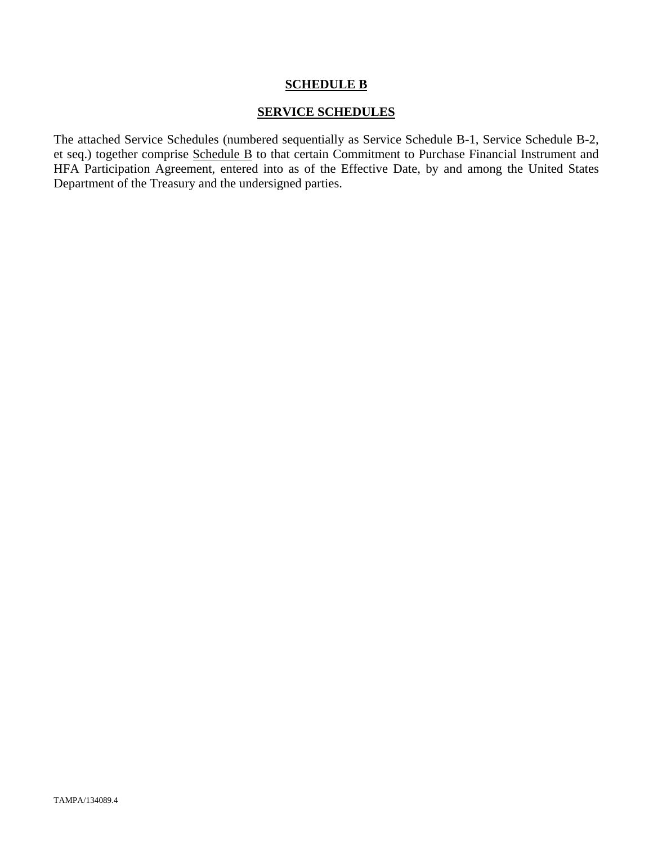## **SCHEDULE B**

#### **SERVICE SCHEDULES**

The attached Service Schedules (numbered sequentially as Service Schedule B-1, Service Schedule B-2, et seq.) together comprise Schedule B to that certain Commitment to Purchase Financial Instrument and HFA Participation Agreement, entered into as of the Effective Date, by and among the United States Department of the Treasury and the undersigned parties.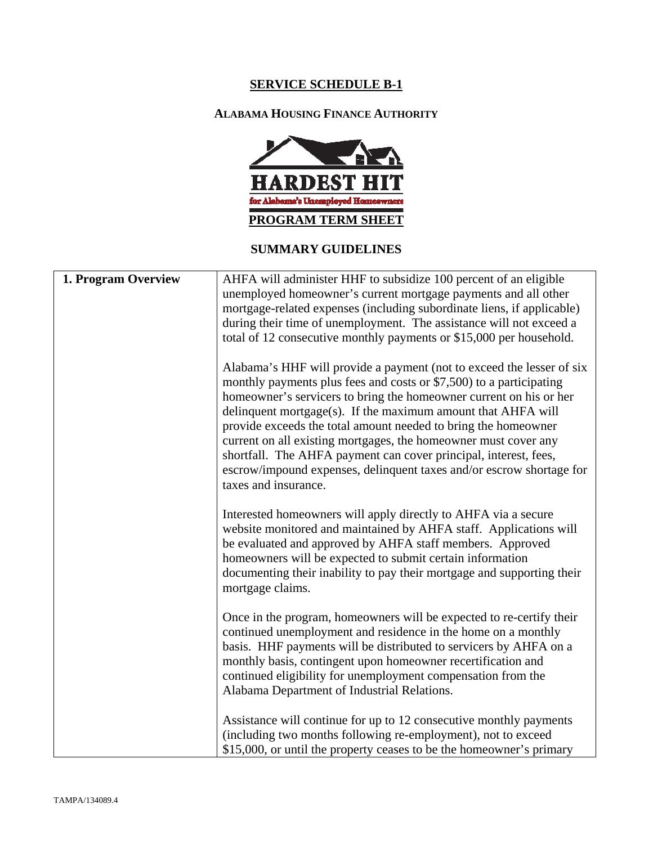# **SERVICE SCHEDULE B-1**

# **ALABAMA HOUSING FINANCE AUTHORITY**



# **SUMMARY GUIDELINES**

| 1. Program Overview | AHFA will administer HHF to subsidize 100 percent of an eligible<br>unemployed homeowner's current mortgage payments and all other<br>mortgage-related expenses (including subordinate liens, if applicable)<br>during their time of unemployment. The assistance will not exceed a<br>total of 12 consecutive monthly payments or \$15,000 per household.                                                                                                                                                                                                                                  |
|---------------------|---------------------------------------------------------------------------------------------------------------------------------------------------------------------------------------------------------------------------------------------------------------------------------------------------------------------------------------------------------------------------------------------------------------------------------------------------------------------------------------------------------------------------------------------------------------------------------------------|
|                     | Alabama's HHF will provide a payment (not to exceed the lesser of six<br>monthly payments plus fees and costs or \$7,500) to a participating<br>homeowner's servicers to bring the homeowner current on his or her<br>delinquent mortgage(s). If the maximum amount that AHFA will<br>provide exceeds the total amount needed to bring the homeowner<br>current on all existing mortgages, the homeowner must cover any<br>shortfall. The AHFA payment can cover principal, interest, fees,<br>escrow/impound expenses, delinquent taxes and/or escrow shortage for<br>taxes and insurance. |
|                     | Interested homeowners will apply directly to AHFA via a secure<br>website monitored and maintained by AHFA staff. Applications will<br>be evaluated and approved by AHFA staff members. Approved<br>homeowners will be expected to submit certain information<br>documenting their inability to pay their mortgage and supporting their<br>mortgage claims.                                                                                                                                                                                                                                 |
|                     | Once in the program, homeowners will be expected to re-certify their<br>continued unemployment and residence in the home on a monthly<br>basis. HHF payments will be distributed to servicers by AHFA on a<br>monthly basis, contingent upon homeowner recertification and<br>continued eligibility for unemployment compensation from the<br>Alabama Department of Industrial Relations.                                                                                                                                                                                                   |
|                     | Assistance will continue for up to 12 consecutive monthly payments<br>(including two months following re-employment), not to exceed<br>\$15,000, or until the property ceases to be the homeowner's primary                                                                                                                                                                                                                                                                                                                                                                                 |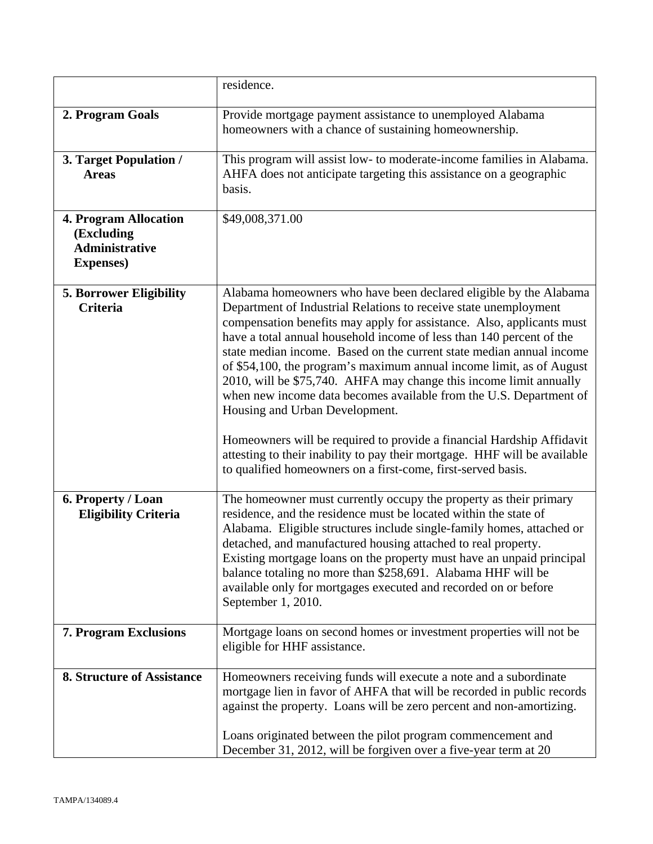|                                                                                   | residence.                                                                                                                                                                                                                                                                                                                                                                                                                                                                                                                                                                                                                                                                                                                                                                                                                                 |
|-----------------------------------------------------------------------------------|--------------------------------------------------------------------------------------------------------------------------------------------------------------------------------------------------------------------------------------------------------------------------------------------------------------------------------------------------------------------------------------------------------------------------------------------------------------------------------------------------------------------------------------------------------------------------------------------------------------------------------------------------------------------------------------------------------------------------------------------------------------------------------------------------------------------------------------------|
| 2. Program Goals                                                                  | Provide mortgage payment assistance to unemployed Alabama<br>homeowners with a chance of sustaining homeownership.                                                                                                                                                                                                                                                                                                                                                                                                                                                                                                                                                                                                                                                                                                                         |
| 3. Target Population /<br><b>Areas</b>                                            | This program will assist low- to moderate-income families in Alabama.<br>AHFA does not anticipate targeting this assistance on a geographic<br>basis.                                                                                                                                                                                                                                                                                                                                                                                                                                                                                                                                                                                                                                                                                      |
| <b>4. Program Allocation</b><br>(Excluding<br>Administrative<br><b>Expenses</b> ) | \$49,008,371.00                                                                                                                                                                                                                                                                                                                                                                                                                                                                                                                                                                                                                                                                                                                                                                                                                            |
| <b>5. Borrower Eligibility</b><br><b>Criteria</b>                                 | Alabama homeowners who have been declared eligible by the Alabama<br>Department of Industrial Relations to receive state unemployment<br>compensation benefits may apply for assistance. Also, applicants must<br>have a total annual household income of less than 140 percent of the<br>state median income. Based on the current state median annual income<br>of \$54,100, the program's maximum annual income limit, as of August<br>2010, will be \$75,740. AHFA may change this income limit annually<br>when new income data becomes available from the U.S. Department of<br>Housing and Urban Development.<br>Homeowners will be required to provide a financial Hardship Affidavit<br>attesting to their inability to pay their mortgage. HHF will be available<br>to qualified homeowners on a first-come, first-served basis. |
| 6. Property / Loan<br><b>Eligibility Criteria</b>                                 | The homeowner must currently occupy the property as their primary<br>residence, and the residence must be located within the state of<br>Alabama. Eligible structures include single-family homes, attached or<br>detached, and manufactured housing attached to real property.<br>Existing mortgage loans on the property must have an unpaid principal<br>balance totaling no more than \$258,691. Alabama HHF will be<br>available only for mortgages executed and recorded on or before<br>September 1, 2010.                                                                                                                                                                                                                                                                                                                          |
| 7. Program Exclusions                                                             | Mortgage loans on second homes or investment properties will not be<br>eligible for HHF assistance.                                                                                                                                                                                                                                                                                                                                                                                                                                                                                                                                                                                                                                                                                                                                        |
| <b>8. Structure of Assistance</b>                                                 | Homeowners receiving funds will execute a note and a subordinate<br>mortgage lien in favor of AHFA that will be recorded in public records<br>against the property. Loans will be zero percent and non-amortizing.<br>Loans originated between the pilot program commencement and<br>December 31, 2012, will be forgiven over a five-year term at 20                                                                                                                                                                                                                                                                                                                                                                                                                                                                                       |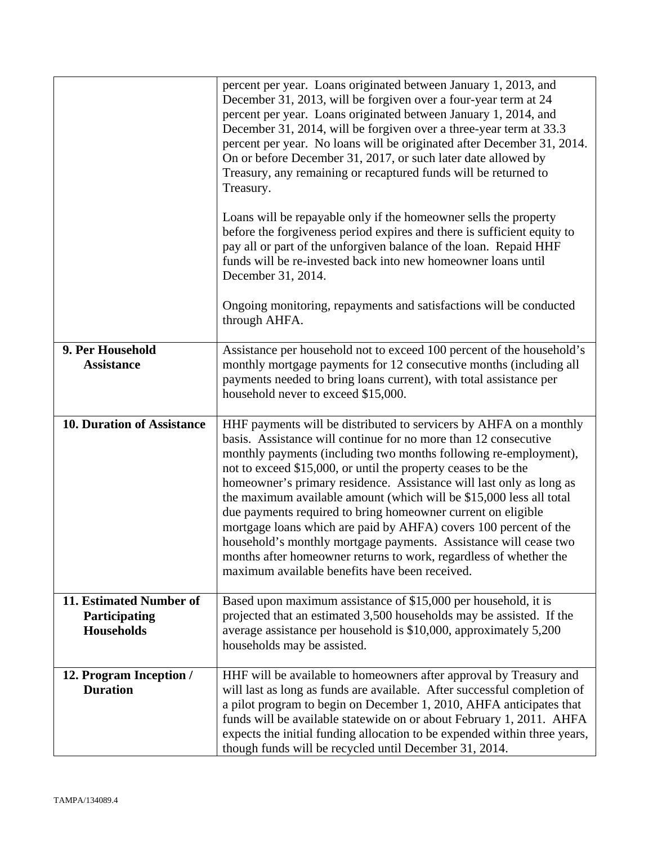|                                                               | percent per year. Loans originated between January 1, 2013, and<br>December 31, 2013, will be forgiven over a four-year term at 24<br>percent per year. Loans originated between January 1, 2014, and<br>December 31, 2014, will be forgiven over a three-year term at 33.3<br>percent per year. No loans will be originated after December 31, 2014.<br>On or before December 31, 2017, or such later date allowed by<br>Treasury, any remaining or recaptured funds will be returned to<br>Treasury.<br>Loans will be repayable only if the homeowner sells the property<br>before the forgiveness period expires and there is sufficient equity to<br>pay all or part of the unforgiven balance of the loan. Repaid HHF<br>funds will be re-invested back into new homeowner loans until<br>December 31, 2014.<br>Ongoing monitoring, repayments and satisfactions will be conducted |
|---------------------------------------------------------------|-----------------------------------------------------------------------------------------------------------------------------------------------------------------------------------------------------------------------------------------------------------------------------------------------------------------------------------------------------------------------------------------------------------------------------------------------------------------------------------------------------------------------------------------------------------------------------------------------------------------------------------------------------------------------------------------------------------------------------------------------------------------------------------------------------------------------------------------------------------------------------------------|
| 9. Per Household<br><b>Assistance</b>                         | through AHFA.<br>Assistance per household not to exceed 100 percent of the household's<br>monthly mortgage payments for 12 consecutive months (including all<br>payments needed to bring loans current), with total assistance per<br>household never to exceed \$15,000.                                                                                                                                                                                                                                                                                                                                                                                                                                                                                                                                                                                                               |
| <b>10. Duration of Assistance</b>                             | HHF payments will be distributed to servicers by AHFA on a monthly<br>basis. Assistance will continue for no more than 12 consecutive<br>monthly payments (including two months following re-employment),<br>not to exceed \$15,000, or until the property ceases to be the<br>homeowner's primary residence. Assistance will last only as long as<br>the maximum available amount (which will be \$15,000 less all total<br>due payments required to bring homeowner current on eligible<br>mortgage loans which are paid by AHFA) covers 100 percent of the<br>household's monthly mortgage payments. Assistance will cease two<br>months after homeowner returns to work, regardless of whether the<br>maximum available benefits have been received.                                                                                                                                |
| 11. Estimated Number of<br>Participating<br><b>Households</b> | Based upon maximum assistance of \$15,000 per household, it is<br>projected that an estimated 3,500 households may be assisted. If the<br>average assistance per household is \$10,000, approximately 5,200<br>households may be assisted.                                                                                                                                                                                                                                                                                                                                                                                                                                                                                                                                                                                                                                              |
| 12. Program Inception /<br><b>Duration</b>                    | HHF will be available to homeowners after approval by Treasury and<br>will last as long as funds are available. After successful completion of<br>a pilot program to begin on December 1, 2010, AHFA anticipates that<br>funds will be available statewide on or about February 1, 2011. AHFA<br>expects the initial funding allocation to be expended within three years,<br>though funds will be recycled until December 31, 2014.                                                                                                                                                                                                                                                                                                                                                                                                                                                    |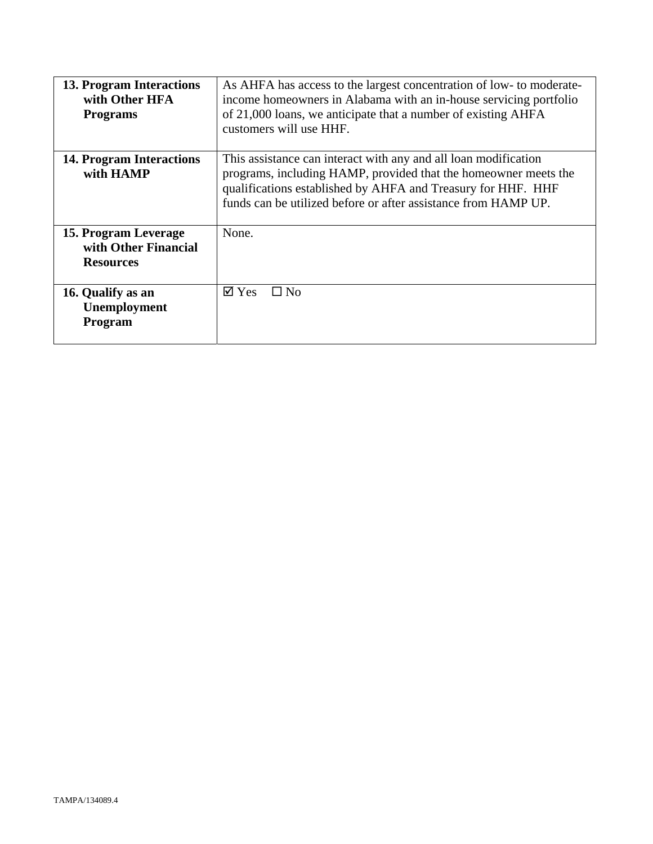| 13. Program Interactions<br>with Other HFA<br><b>Programs</b>    | As AHFA has access to the largest concentration of low- to moderate-<br>income homeowners in Alabama with an in-house servicing portfolio<br>of 21,000 loans, we anticipate that a number of existing AHFA<br>customers will use HHF.                                |
|------------------------------------------------------------------|----------------------------------------------------------------------------------------------------------------------------------------------------------------------------------------------------------------------------------------------------------------------|
| 14. Program Interactions<br>with HAMP                            | This assistance can interact with any and all loan modification<br>programs, including HAMP, provided that the homeowner meets the<br>qualifications established by AHFA and Treasury for HHF. HHF<br>funds can be utilized before or after assistance from HAMP UP. |
| 15. Program Leverage<br>with Other Financial<br><b>Resources</b> | None.                                                                                                                                                                                                                                                                |
| 16. Qualify as an<br>Unemployment<br>Program                     | $\boxtimes$ Yes<br>$\Box$ No                                                                                                                                                                                                                                         |